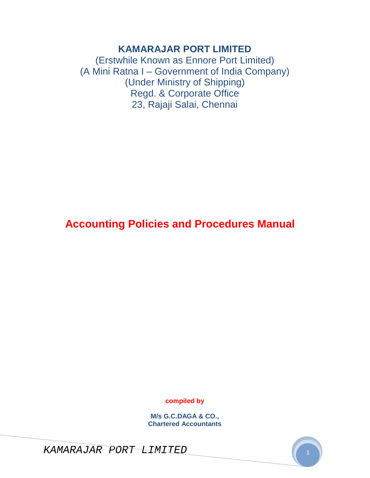# **KAMARAJAR PORT LIMITED**

(Erstwhile Known as Ennore Port Limited) (A Mini Ratna I – Government of India Company) (Under Ministry of Shipping) Regd. & Corporate Office 23, Rajaji Salai, Chennai

# **Accounting Policies and Procedures Manual**

**compiled by** 

**M/s G.C.DAGA & CO., Chartered Accountants** 

KAMARAJAR PORT LIMITED <sup>1</sup>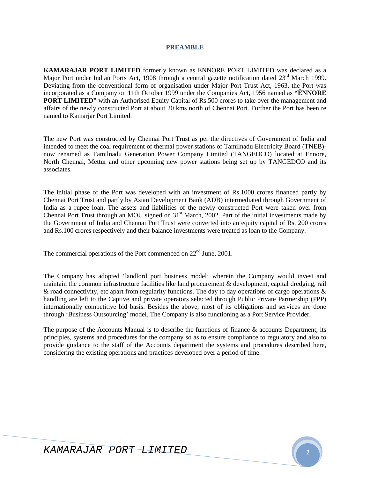#### **PREAMBLE**

**KAMARAJAR PORT LIMITED** formerly known as ENNORE PORT LIMITED was declared as a Major Port under Indian Ports Act, 1908 through a central gazette notification dated 23<sup>rd</sup> March 1999. Deviating from the conventional form of organisation under Major Port Trust Act, 1963, the Port was incorporated as a Company on 11th October 1999 under the Companies Act, 1956 named as **"ËNNORE PORT LIMITED"** with an Authorised Equity Capital of Rs.500 crores to take over the management and affairs of the newly constructed Port at about 20 kms north of Chennai Port. Further the Port has been re named to Kamarjar Port Limited.

The new Port was constructed by Chennai Port Trust as per the directives of Government of India and intended to meet the coal requirement of thermal power stations of Tamilnadu Electricity Board (TNEB) now renamed as Tamilnadu Generation Power Company Limited (TANGEDCO) located at Ennore, North Chennai, Mettur and other upcoming new power stations being set up by TANGEDCO and its associates.

The initial phase of the Port was developed with an investment of Rs.1000 crores financed partly by Chennai Port Trust and partly by Asian Development Bank (ADB) intermediated through Government of India as a rupee loan. The assets and liabilities of the newly constructed Port were taken over from Chennai Port Trust through an MOU signed on  $31<sup>st</sup>$  March, 2002. Part of the initial investments made by the Government of India and Chennai Port Trust were converted into an equity capital of Rs. 200 crores and Rs.100 crores respectively and their balance investments were treated as loan to the Company.

The commercial operations of the Port commenced on  $22<sup>nd</sup>$  June, 2001.

The Company has adopted 'landlord port business model' wherein the Company would invest and maintain the common infrastructure facilities like land procurement & development, capital dredging, rail & road connectivity, etc apart from regularity functions. The day to day operations of cargo operations & handling are left to the Captive and private operators selected through Public Private Partnership (PPP) internationally competitive bid basis. Besides the above, most of its obligations and services are done through 'Business Outsourcing' model. The Company is also functioning as a Port Service Provider.

The purpose of the Accounts Manual is to describe the functions of finance & accounts Department, its principles, systems and procedures for the company so as to ensure compliance to regulatory and also to provide guidance to the staff of the Accounts department the systems and procedures described here, considering the existing operations and practices developed over a period of time.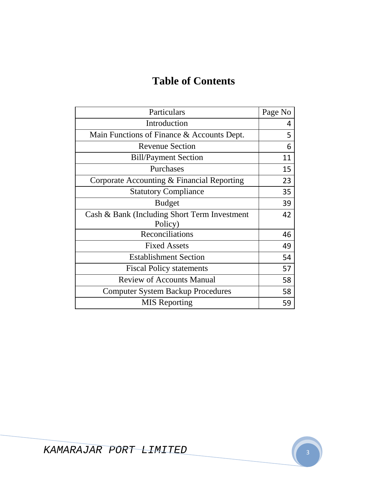# **Table of Contents**

| Particulars                                  | Page No |
|----------------------------------------------|---------|
| Introduction                                 | 4       |
| Main Functions of Finance & Accounts Dept.   | 5       |
| <b>Revenue Section</b>                       | 6       |
| <b>Bill/Payment Section</b>                  | 11      |
| Purchases                                    | 15      |
| Corporate Accounting & Financial Reporting   | 23      |
| <b>Statutory Compliance</b>                  | 35      |
| <b>Budget</b>                                | 39      |
| Cash & Bank (Including Short Term Investment | 42      |
| Policy)                                      |         |
| Reconciliations                              | 46      |
| <b>Fixed Assets</b>                          | 49      |
| <b>Establishment Section</b>                 | 54      |
| <b>Fiscal Policy statements</b>              | 57      |
| <b>Review of Accounts Manual</b>             | 58      |
| <b>Computer System Backup Procedures</b>     | 58      |
| <b>MIS</b> Reporting                         | 59      |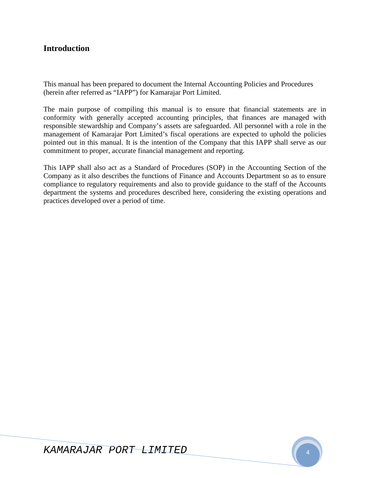# **Introduction**

This manual has been prepared to document the Internal Accounting Policies and Procedures (herein after referred as "IAPP") for Kamarajar Port Limited.

The main purpose of compiling this manual is to ensure that financial statements are in conformity with generally accepted accounting principles, that finances are managed with responsible stewardship and Company's assets are safeguarded. All personnel with a role in the management of Kamarajar Port Limited's fiscal operations are expected to uphold the policies pointed out in this manual. It is the intention of the Company that this IAPP shall serve as our commitment to proper, accurate financial management and reporting.

This IAPP shall also act as a Standard of Procedures (SOP) in the Accounting Section of the Company as it also describes the functions of Finance and Accounts Department so as to ensure compliance to regulatory requirements and also to provide guidance to the staff of the Accounts department the systems and procedures described here, considering the existing operations and practices developed over a period of time.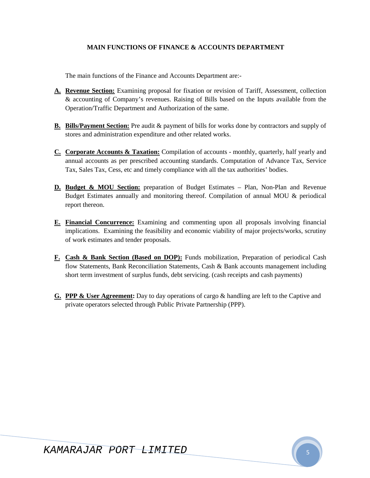### **MAIN FUNCTIONS OF FINANCE & ACCOUNTS DEPARTMENT**

The main functions of the Finance and Accounts Department are:-

- **A. Revenue Section:** Examining proposal for fixation or revision of Tariff, Assessment, collection & accounting of Company's revenues. Raising of Bills based on the Inputs available from the Operation/Traffic Department and Authorization of the same.
- **B. Bills/Payment Section:** Pre audit & payment of bills for works done by contractors and supply of stores and administration expenditure and other related works.
- **C. Corporate Accounts & Taxation:** Compilation of accounts monthly, quarterly, half yearly and annual accounts as per prescribed accounting standards. Computation of Advance Tax, Service Tax, Sales Tax, Cess, etc and timely compliance with all the tax authorities' bodies.
- **D. Budget & MOU Section:** preparation of Budget Estimates Plan, Non-Plan and Revenue Budget Estimates annually and monitoring thereof. Compilation of annual MOU & periodical report thereon.
- **E. Financial Concurrence:** Examining and commenting upon all proposals involving financial implications. Examining the feasibility and economic viability of major projects/works, scrutiny of work estimates and tender proposals.
- **F. Cash & Bank Section (Based on DOP):** Funds mobilization, Preparation of periodical Cash flow Statements, Bank Reconciliation Statements, Cash & Bank accounts management including short term investment of surplus funds, debt servicing. (cash receipts and cash payments)
- **G. PPP & User Agreement:** Day to day operations of cargo & handling are left to the Captive and private operators selected through Public Private Partnership (PPP).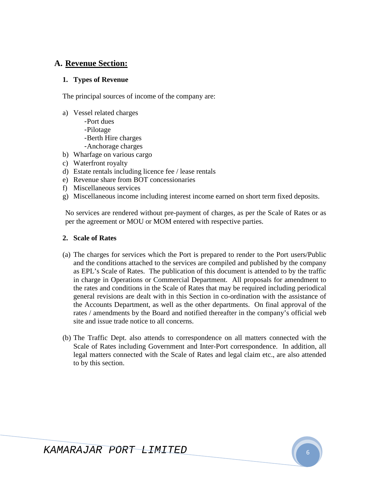# **A. Revenue Section:**

### **1. Types of Revenue**

The principal sources of income of the company are:

- a) Vessel related charges
	- Port dues
	- Pilotage
	- Berth Hire charges
	- Anchorage charges
- b) Wharfage on various cargo
- c) Waterfront royalty
- d) Estate rentals including licence fee / lease rentals
- e) Revenue share from BOT concessionaries
- f) Miscellaneous services
- g) Miscellaneous income including interest income earned on short term fixed deposits.

No services are rendered without pre-payment of charges, as per the Scale of Rates or as per the agreement or MOU or MOM entered with respective parties.

### **2. Scale of Rates**

- (a) The charges for services which the Port is prepared to render to the Port users/Public and the conditions attached to the services are compiled and published by the company as EPL's Scale of Rates. The publication of this document is attended to by the traffic in charge in Operations or Commercial Department. All proposals for amendment to the rates and conditions in the Scale of Rates that may be required including periodical general revisions are dealt with in this Section in co-ordination with the assistance of the Accounts Department, as well as the other departments. On final approval of the rates / amendments by the Board and notified thereafter in the company's official web site and issue trade notice to all concerns.
- (b) The Traffic Dept. also attends to correspondence on all matters connected with the Scale of Rates including Government and Inter-Port correspondence. In addition, all legal matters connected with the Scale of Rates and legal claim etc., are also attended to by this section.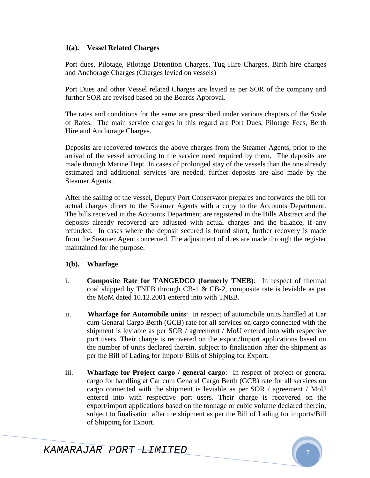### **1(a). Vessel Related Charges**

Port dues, Pilotage, Pilotage Detention Charges, Tug Hire Charges, Birth hire charges and Anchorage Charges (Charges levied on vessels)

Port Dues and other Vessel related Charges are levied as per SOR of the company and further SOR are revised based on the Boards Approval.

The rates and conditions for the same are prescribed under various chapters of the Scale of Rates. The main service charges in this regard are Port Dues, Pilotage Fees, Berth Hire and Anchorage Charges.

Deposits are recovered towards the above charges from the Steamer Agents, prior to the arrival of the vessel according to the service need required by them. The deposits are made through Marine Dept In cases of prolonged stay of the vessels than the one already estimated and additional services are needed, further deposits are also made by the Steamer Agents.

After the sailing of the vessel, Deputy Port Conservator prepares and forwards the bill for actual charges direct to the Steamer Agents with a copy to the Accounts Department. The bills received in the Accounts Department are registered in the Bills Abstract and the deposits already recovered are adjusted with actual charges and the balance, if any refunded. In cases where the deposit secured is found short, further recovery is made from the Steamer Agent concerned. The adjustment of dues are made through the register maintained for the purpose.

### **1(b). Wharfage**

- i. **Composite Rate for TANGEDCO (formerly TNEB)**: In respect of thermal coal shipped by TNEB through CB-1 & CB-2, composite rate is leviable as per the MoM dated 10.12.2001 entered into with TNEB.
- ii. **Wharfage for Automobile units**: In respect of automobile units handled at Car cum Genaral Cargo Berth (GCB) rate for all services on cargo connected with the shipment is leviable as per SOR / agreement / MoU entered into with respective port users. Their charge is recovered on the export/Import applications based on the number of units declared therein, subject to finalisation after the shipment as per the Bill of Lading for Import/ Bills of Shipping for Export.
- iii. **Wharfage for Project cargo / general cargo**: In respect of project or general cargo for handling at Car cum Genaral Cargo Berth (GCB) rate for all services on cargo connected with the shipment is leviable as per SOR / agreement / MoU entered into with respective port users. Their charge is recovered on the export/import applications based on the tonnage or cubic volume declared therein, subject to finalisation after the shipment as per the Bill of Lading for imports/Bill of Shipping for Export.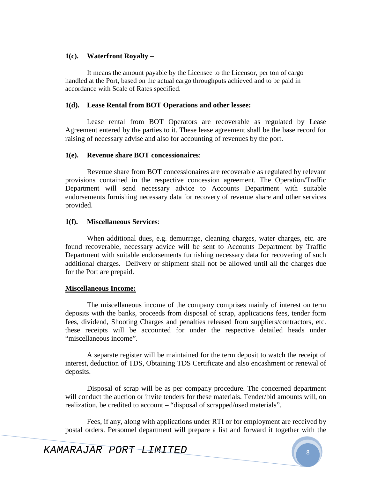### **1(c). Waterfront Royalty –**

It means the amount payable by the Licensee to the Licensor, per ton of cargo handled at the Port, based on the actual cargo throughputs achieved and to be paid in accordance with Scale of Rates specified.

### **1(d). Lease Rental from BOT Operations and other lessee:**

Lease rental from BOT Operators are recoverable as regulated by Lease Agreement entered by the parties to it. These lease agreement shall be the base record for raising of necessary advise and also for accounting of revenues by the port.

### **1(e). Revenue share BOT concessionaires**:

Revenue share from BOT concessionaires are recoverable as regulated by relevant provisions contained in the respective concession agreement. The Operation/Traffic Department will send necessary advice to Accounts Department with suitable endorsements furnishing necessary data for recovery of revenue share and other services provided.

### **1(f). Miscellaneous Services**:

When additional dues, e.g. demurrage, cleaning charges, water charges, etc. are found recoverable, necessary advice will be sent to Accounts Department by Traffic Department with suitable endorsements furnishing necessary data for recovering of such additional charges. Delivery or shipment shall not be allowed until all the charges due for the Port are prepaid.

### **Miscellaneous Income:**

The miscellaneous income of the company comprises mainly of interest on term deposits with the banks, proceeds from disposal of scrap, applications fees, tender form fees, dividend, Shooting Charges and penalties released from suppliers/contractors, etc. these receipts will be accounted for under the respective detailed heads under "miscellaneous income".

A separate register will be maintained for the term deposit to watch the receipt of interest, deduction of TDS, Obtaining TDS Certificate and also encashment or renewal of deposits.

Disposal of scrap will be as per company procedure. The concerned department will conduct the auction or invite tenders for these materials. Tender/bid amounts will, on realization, be credited to account – "disposal of scrapped/used materials".

Fees, if any, along with applications under RTI or for employment are received by postal orders. Personnel department will prepare a list and forward it together with the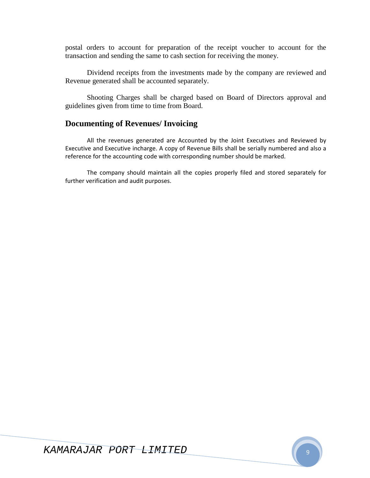postal orders to account for preparation of the receipt voucher to account for the transaction and sending the same to cash section for receiving the money.

Dividend receipts from the investments made by the company are reviewed and Revenue generated shall be accounted separately.

Shooting Charges shall be charged based on Board of Directors approval and guidelines given from time to time from Board.

# **Documenting of Revenues/ Invoicing**

All the revenues generated are Accounted by the Joint Executives and Reviewed by Executive and Executive incharge. A copy of Revenue Bills shall be serially numbered and also a reference for the accounting code with corresponding number should be marked.

The company should maintain all the copies properly filed and stored separately for further verification and audit purposes.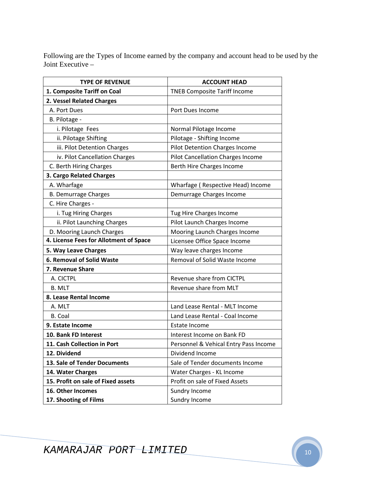Following are the Types of Income earned by the company and account head to be used by the Joint Executive –

| <b>TYPE OF REVENUE</b>                 | <b>ACCOUNT HEAD</b>                   |
|----------------------------------------|---------------------------------------|
| 1. Composite Tariff on Coal            | <b>TNEB Composite Tariff Income</b>   |
| 2. Vessel Related Charges              |                                       |
| A. Port Dues                           | Port Dues Income                      |
| B. Pilotage -                          |                                       |
| i. Pilotage Fees                       | Normal Pilotage Income                |
| ii. Pilotage Shifting                  | Pilotage - Shifting Income            |
| iii. Pilot Detention Charges           | Pilot Detention Charges Income        |
| iv. Pilot Cancellation Charges         | Pilot Cancellation Charges Income     |
| C. Berth Hiring Charges                | Berth Hire Charges Income             |
| 3. Cargo Related Charges               |                                       |
| A. Wharfage                            | Wharfage (Respective Head) Income     |
| <b>B. Demurrage Charges</b>            | Demurrage Charges Income              |
| C. Hire Charges -                      |                                       |
| i. Tug Hiring Charges                  | Tug Hire Charges Income               |
| ii. Pilot Launching Charges            | Pilot Launch Charges Income           |
| D. Mooring Launch Charges              | Mooring Launch Charges Income         |
| 4. License Fees for Allotment of Space | Licensee Office Space Income          |
| 5. Way Leave Charges                   | Way leave charges Income              |
| <b>6. Removal of Solid Waste</b>       | Removal of Solid Waste Income         |
| 7. Revenue Share                       |                                       |
| A. CICTPL                              | Revenue share from CICTPL             |
| <b>B. MLT</b>                          | Revenue share from MLT                |
| 8. Lease Rental Income                 |                                       |
| A. MLT                                 | Land Lease Rental - MLT Income        |
| B. Coal                                | Land Lease Rental - Coal Income       |
| 9. Estate Income                       | Estate Income                         |
| 10. Bank FD Interest                   | Interest Income on Bank FD            |
| 11. Cash Collection in Port            | Personnel & Vehical Entry Pass Income |
| 12. Dividend                           | Dividend Income                       |
| 13. Sale of Tender Documents           | Sale of Tender documents Income       |
| 14. Water Charges                      | Water Charges - KL Income             |
| 15. Profit on sale of Fixed assets     | Profit on sale of Fixed Assets        |
| 16. Other Incomes                      | Sundry Income                         |
| 17. Shooting of Films                  | Sundry Income                         |

KAMARAJAR PORT LIMITED 10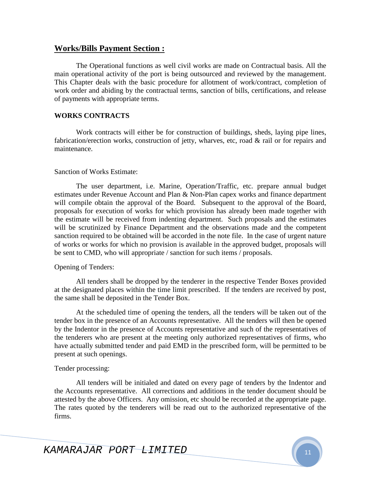### **Works/Bills Payment Section :**

The Operational functions as well civil works are made on Contractual basis. All the main operational activity of the port is being outsourced and reviewed by the management. This Chapter deals with the basic procedure for allotment of work/contract, completion of work order and abiding by the contractual terms, sanction of bills, certifications, and release of payments with appropriate terms.

### **WORKS CONTRACTS**

Work contracts will either be for construction of buildings, sheds, laying pipe lines, fabrication/erection works, construction of jetty, wharves, etc, road & rail or for repairs and maintenance.

### Sanction of Works Estimate:

The user department, i.e. Marine, Operation/Traffic, etc. prepare annual budget estimates under Revenue Account and Plan & Non-Plan capex works and finance department will compile obtain the approval of the Board. Subsequent to the approval of the Board, proposals for execution of works for which provision has already been made together with the estimate will be received from indenting department. Such proposals and the estimates will be scrutinized by Finance Department and the observations made and the competent sanction required to be obtained will be accorded in the note file. In the case of urgent nature of works or works for which no provision is available in the approved budget, proposals will be sent to CMD, who will appropriate / sanction for such items / proposals.

### Opening of Tenders:

All tenders shall be dropped by the tenderer in the respective Tender Boxes provided at the designated places within the time limit prescribed. If the tenders are received by post, the same shall be deposited in the Tender Box.

At the scheduled time of opening the tenders, all the tenders will be taken out of the tender box in the presence of an Accounts representative. All the tenders will then be opened by the Indentor in the presence of Accounts representative and such of the representatives of the tenderers who are present at the meeting only authorized representatives of firms, who have actually submitted tender and paid EMD in the prescribed form, will be permitted to be present at such openings.

### Tender processing:

All tenders will be initialed and dated on every page of tenders by the Indentor and the Accounts representative. All corrections and additions in the tender document should be attested by the above Officers. Any omission, etc should be recorded at the appropriate page. The rates quoted by the tenderers will be read out to the authorized representative of the firms.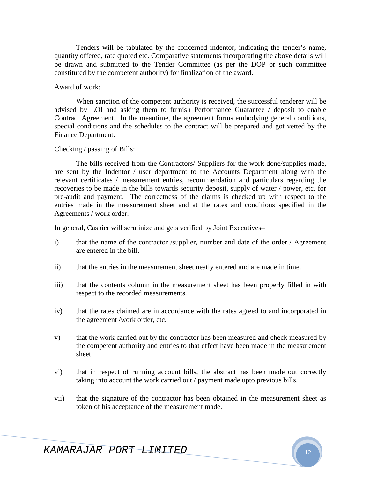Tenders will be tabulated by the concerned indentor, indicating the tender's name, quantity offered, rate quoted etc. Comparative statements incorporating the above details will be drawn and submitted to the Tender Committee (as per the DOP or such committee constituted by the competent authority) for finalization of the award.

#### Award of work:

When sanction of the competent authority is received, the successful tenderer will be advised by LOI and asking them to furnish Performance Guarantee / deposit to enable Contract Agreement. In the meantime, the agreement forms embodying general conditions, special conditions and the schedules to the contract will be prepared and got vetted by the Finance Department.

### Checking / passing of Bills:

The bills received from the Contractors/ Suppliers for the work done/supplies made, are sent by the Indentor / user department to the Accounts Department along with the relevant certificates / measurement entries, recommendation and particulars regarding the recoveries to be made in the bills towards security deposit, supply of water / power, etc. for pre-audit and payment. The correctness of the claims is checked up with respect to the entries made in the measurement sheet and at the rates and conditions specified in the Agreements / work order.

In general, Cashier will scrutinize and gets verified by Joint Executives–

- i) that the name of the contractor /supplier, number and date of the order / Agreement are entered in the bill.
- ii) that the entries in the measurement sheet neatly entered and are made in time.
- iii) that the contents column in the measurement sheet has been properly filled in with respect to the recorded measurements.
- iv) that the rates claimed are in accordance with the rates agreed to and incorporated in the agreement /work order, etc.
- v) that the work carried out by the contractor has been measured and check measured by the competent authority and entries to that effect have been made in the measurement sheet.
- vi) that in respect of running account bills, the abstract has been made out correctly taking into account the work carried out / payment made upto previous bills.
- vii) that the signature of the contractor has been obtained in the measurement sheet as token of his acceptance of the measurement made.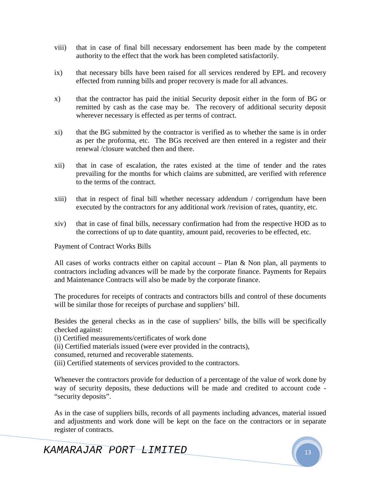- viii) that in case of final bill necessary endorsement has been made by the competent authority to the effect that the work has been completed satisfactorily.
- ix) that necessary bills have been raised for all services rendered by EPL and recovery effected from running bills and proper recovery is made for all advances.
- x) that the contractor has paid the initial Security deposit either in the form of BG or remitted by cash as the case may be. The recovery of additional security deposit wherever necessary is effected as per terms of contract.
- xi) that the BG submitted by the contractor is verified as to whether the same is in order as per the proforma, etc. The BGs received are then entered in a register and their renewal /closure watched then and there.
- xii) that in case of escalation, the rates existed at the time of tender and the rates prevailing for the months for which claims are submitted, are verified with reference to the terms of the contract.
- xiii) that in respect of final bill whether necessary addendum / corrigendum have been executed by the contractors for any additional work /revision of rates, quantity, etc.
- xiv) that in case of final bills, necessary confirmation had from the respective HOD as to the corrections of up to date quantity, amount paid, recoveries to be effected, etc.

Payment of Contract Works Bills

All cases of works contracts either on capital account – Plan  $\&$  Non plan, all payments to contractors including advances will be made by the corporate finance. Payments for Repairs and Maintenance Contracts will also be made by the corporate finance.

The procedures for receipts of contracts and contractors bills and control of these documents will be similar those for receipts of purchase and suppliers' bill.

Besides the general checks as in the case of suppliers' bills, the bills will be specifically checked against:

(i) Certified measurements/certificates of work done

(ii) Certified materials issued (were ever provided in the contracts),

consumed, returned and recoverable statements.

(iii) Certified statements of services provided to the contractors.

Whenever the contractors provide for deduction of a percentage of the value of work done by way of security deposits, these deductions will be made and credited to account code - "security deposits".

As in the case of suppliers bills, records of all payments including advances, material issued and adjustments and work done will be kept on the face on the contractors or in separate register of contracts.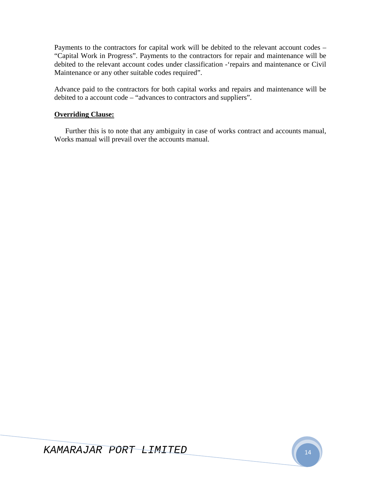Payments to the contractors for capital work will be debited to the relevant account codes – "Capital Work in Progress". Payments to the contractors for repair and maintenance will be debited to the relevant account codes under classification -'repairs and maintenance or Civil Maintenance or any other suitable codes required".

Advance paid to the contractors for both capital works and repairs and maintenance will be debited to a account code – "advances to contractors and suppliers".

### **Overriding Clause:**

Further this is to note that any ambiguity in case of works contract and accounts manual, Works manual will prevail over the accounts manual.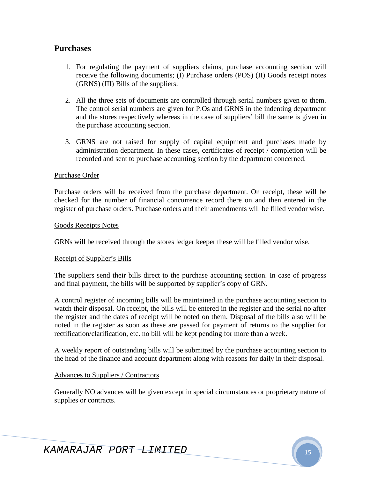# **Purchases**

- 1. For regulating the payment of suppliers claims, purchase accounting section will receive the following documents; (I) Purchase orders (POS) (II) Goods receipt notes (GRNS) (III) Bills of the suppliers.
- 2. All the three sets of documents are controlled through serial numbers given to them. The control serial numbers are given for P.Os and GRNS in the indenting department and the stores respectively whereas in the case of suppliers' bill the same is given in the purchase accounting section.
- 3. GRNS are not raised for supply of capital equipment and purchases made by administration department. In these cases, certificates of receipt / completion will be recorded and sent to purchase accounting section by the department concerned.

### Purchase Order

Purchase orders will be received from the purchase department. On receipt, these will be checked for the number of financial concurrence record there on and then entered in the register of purchase orders. Purchase orders and their amendments will be filled vendor wise.

#### Goods Receipts Notes

GRNs will be received through the stores ledger keeper these will be filled vendor wise.

### Receipt of Supplier's Bills

The suppliers send their bills direct to the purchase accounting section. In case of progress and final payment, the bills will be supported by supplier's copy of GRN.

A control register of incoming bills will be maintained in the purchase accounting section to watch their disposal. On receipt, the bills will be entered in the register and the serial no after the register and the dates of receipt will be noted on them. Disposal of the bills also will be noted in the register as soon as these are passed for payment of returns to the supplier for rectification/clarification, etc. no bill will be kept pending for more than a week.

A weekly report of outstanding bills will be submitted by the purchase accounting section to the head of the finance and account department along with reasons for daily in their disposal.

### Advances to Suppliers / Contractors

Generally NO advances will be given except in special circumstances or proprietary nature of supplies or contracts.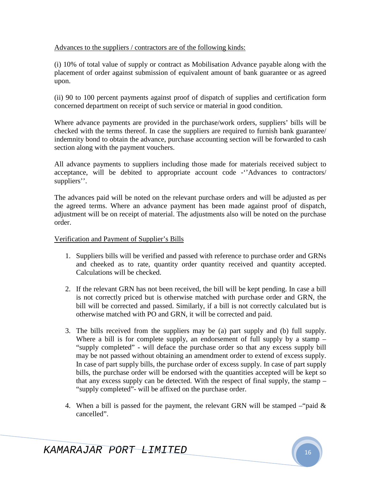### Advances to the suppliers / contractors are of the following kinds:

(i) 10% of total value of supply or contract as Mobilisation Advance payable along with the placement of order against submission of equivalent amount of bank guarantee or as agreed upon.

(ii) 90 to 100 percent payments against proof of dispatch of supplies and certification form concerned department on receipt of such service or material in good condition.

Where advance payments are provided in the purchase/work orders, suppliers' bills will be checked with the terms thereof. In case the suppliers are required to furnish bank guarantee/ indemnity bond to obtain the advance, purchase accounting section will be forwarded to cash section along with the payment vouchers.

All advance payments to suppliers including those made for materials received subject to acceptance, will be debited to appropriate account code -''Advances to contractors/ suppliers''.

The advances paid will be noted on the relevant purchase orders and will be adjusted as per the agreed terms. Where an advance payment has been made against proof of dispatch, adjustment will be on receipt of material. The adjustments also will be noted on the purchase order.

### Verification and Payment of Supplier's Bills

- 1. Suppliers bills will be verified and passed with reference to purchase order and GRNs and cheeked as to rate, quantity order quantity received and quantity accepted. Calculations will be checked.
- 2. If the relevant GRN has not been received, the bill will be kept pending. In case a bill is not correctly priced but is otherwise matched with purchase order and GRN, the bill will be corrected and passed. Similarly, if a bill is not correctly calculated but is otherwise matched with PO and GRN, it will be corrected and paid.
- 3. The bills received from the suppliers may be (a) part supply and (b) full supply. Where a bill is for complete supply, an endorsement of full supply by a stamp – "supply completed" - will deface the purchase order so that any excess supply bill may be not passed without obtaining an amendment order to extend of excess supply. In case of part supply bills, the purchase order of excess supply. In case of part supply bills, the purchase order will be endorsed with the quantities accepted will be kept so that any excess supply can be detected. With the respect of final supply, the stamp – "supply completed"- will be affixed on the purchase order.
- 4. When a bill is passed for the payment, the relevant GRN will be stamped "paid  $\&$ cancelled".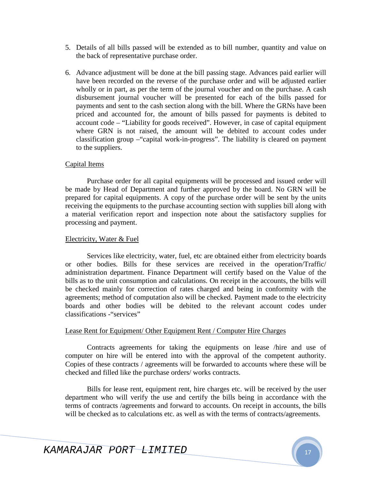- 5. Details of all bills passed will be extended as to bill number, quantity and value on the back of representative purchase order.
- 6. Advance adjustment will be done at the bill passing stage. Advances paid earlier will have been recorded on the reverse of the purchase order and will be adjusted earlier wholly or in part, as per the term of the journal voucher and on the purchase. A cash disbursement journal voucher will be presented for each of the bills passed for payments and sent to the cash section along with the bill. Where the GRNs have been priced and accounted for, the amount of bills passed for payments is debited to account code – "Liability for goods received". However, in case of capital equipment where GRN is not raised, the amount will be debited to account codes under classification group –"capital work-in-progress". The liability is cleared on payment to the suppliers.

### Capital Items

Purchase order for all capital equipments will be processed and issued order will be made by Head of Department and further approved by the board. No GRN will be prepared for capital equipments. A copy of the purchase order will be sent by the units receiving the equipments to the purchase accounting section with supplies bill along with a material verification report and inspection note about the satisfactory supplies for processing and payment.

### Electricity, Water & Fuel

Services like electricity, water, fuel, etc are obtained either from electricity boards or other bodies. Bills for these services are received in the operation/Traffic/ administration department. Finance Department will certify based on the Value of the bills as to the unit consumption and calculations. On receipt in the accounts, the bills will be checked mainly for correction of rates charged and being in conformity with the agreements; method of computation also will be checked. Payment made to the electricity boards and other bodies will be debited to the relevant account codes under classifications -"services"

### Lease Rent for Equipment/ Other Equipment Rent / Computer Hire Charges

Contracts agreements for taking the equipments on lease /hire and use of computer on hire will be entered into with the approval of the competent authority. Copies of these contracts / agreements will be forwarded to accounts where these will be checked and filled like the purchase orders/ works contracts.

Bills for lease rent, equipment rent, hire charges etc. will be received by the user department who will verify the use and certify the bills being in accordance with the terms of contracts /agreements and forward to accounts. On receipt in accounts, the bills will be checked as to calculations etc. as well as with the terms of contracts/agreements.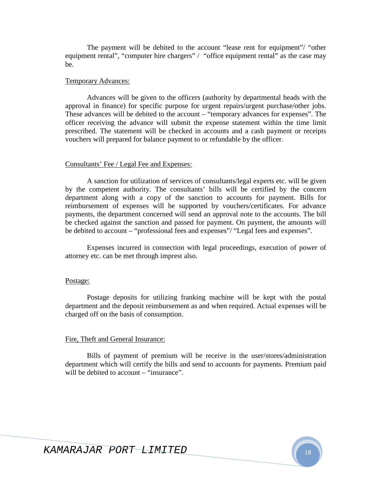The payment will be debited to the account "lease rent for equipment"/ "other equipment rental", "computer hire chargers" / "office equipment rental" as the case may be.

#### Temporary Advances:

Advances will be given to the officers (authority by departmental heads with the approval in finance) for specific purpose for urgent repairs/urgent purchase/other jobs. These advances will be debited to the account – "temporary advances for expenses". The officer receiving the advance will submit the expense statement within the time limit prescribed. The statement will be checked in accounts and a cash payment or receipts vouchers will prepared for balance payment to or refundable by the officer.

#### Consultants' Fee / Legal Fee and Expenses:

A sanction for utilization of services of consultants/legal experts etc. will be given by the competent authority. The consultants' bills will be certified by the concern department along with a copy of the sanction to accounts for payment. Bills for reimbursement of expenses will be supported by vouchers/certificates. For advance payments, the department concerned will send an approval note to the accounts. The bill be checked against the sanction and passed for payment. On payment, the amounts will be debited to account – "professional fees and expenses"/ "Legal fees and expenses".

Expenses incurred in connection with legal proceedings, execution of power of attorney etc. can be met through imprest also.

#### Postage:

Postage deposits for utilizing franking machine will be kept with the postal department and the deposit reimbursement as and when required. Actual expenses will be charged off on the basis of consumption.

#### Fire, Theft and General Insurance:

Bills of payment of premium will be receive in the user/stores/administration department which will certify the bills and send to accounts for payments. Premium paid will be debited to account – "insurance".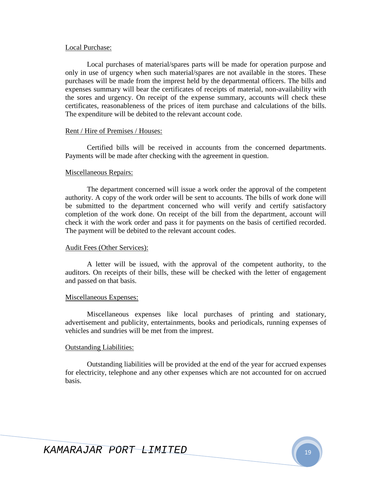#### Local Purchase:

Local purchases of material/spares parts will be made for operation purpose and only in use of urgency when such material/spares are not available in the stores. These purchases will be made from the imprest held by the departmental officers. The bills and expenses summary will bear the certificates of receipts of material, non-availability with the sores and urgency. On receipt of the expense summary, accounts will check these certificates, reasonableness of the prices of item purchase and calculations of the bills. The expenditure will be debited to the relevant account code.

#### Rent / Hire of Premises / Houses:

Certified bills will be received in accounts from the concerned departments. Payments will be made after checking with the agreement in question.

#### Miscellaneous Repairs:

The department concerned will issue a work order the approval of the competent authority. A copy of the work order will be sent to accounts. The bills of work done will be submitted to the department concerned who will verify and certify satisfactory completion of the work done. On receipt of the bill from the department, account will check it with the work order and pass it for payments on the basis of certified recorded. The payment will be debited to the relevant account codes.

#### Audit Fees (Other Services):

A letter will be issued, with the approval of the competent authority, to the auditors. On receipts of their bills, these will be checked with the letter of engagement and passed on that basis.

#### Miscellaneous Expenses:

Miscellaneous expenses like local purchases of printing and stationary, advertisement and publicity, entertainments, books and periodicals, running expenses of vehicles and sundries will be met from the imprest.

#### Outstanding Liabilities:

Outstanding liabilities will be provided at the end of the year for accrued expenses for electricity, telephone and any other expenses which are not accounted for on accrued basis.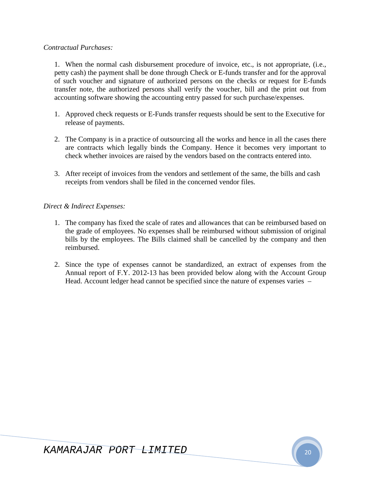### *Contractual Purchases:*

1. When the normal cash disbursement procedure of invoice, etc., is not appropriate, (i.e., petty cash) the payment shall be done through Check or E-funds transfer and for the approval of such voucher and signature of authorized persons on the checks or request for E-funds transfer note, the authorized persons shall verify the voucher, bill and the print out from accounting software showing the accounting entry passed for such purchase/expenses.

- 1. Approved check requests or E-Funds transfer requests should be sent to the Executive for release of payments.
- 2. The Company is in a practice of outsourcing all the works and hence in all the cases there are contracts which legally binds the Company. Hence it becomes very important to check whether invoices are raised by the vendors based on the contracts entered into.
- 3. After receipt of invoices from the vendors and settlement of the same, the bills and cash receipts from vendors shall be filed in the concerned vendor files.

### *Direct & Indirect Expenses:*

- 1. The company has fixed the scale of rates and allowances that can be reimbursed based on the grade of employees. No expenses shall be reimbursed without submission of original bills by the employees. The Bills claimed shall be cancelled by the company and then reimbursed.
- 2. Since the type of expenses cannot be standardized, an extract of expenses from the Annual report of F.Y. 2012-13 has been provided below along with the Account Group Head. Account ledger head cannot be specified since the nature of expenses varies –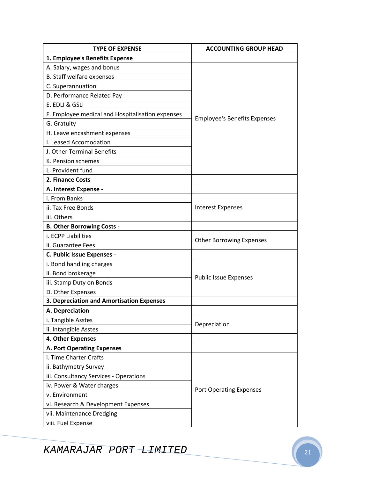| <b>TYPE OF EXPENSE</b>                           | <b>ACCOUNTING GROUP HEAD</b>        |  |
|--------------------------------------------------|-------------------------------------|--|
| 1. Employee's Benefits Expense                   |                                     |  |
| A. Salary, wages and bonus                       |                                     |  |
| B. Staff welfare expenses                        |                                     |  |
| C. Superannuation                                |                                     |  |
| D. Performance Related Pay                       |                                     |  |
| E. EDLI & GSLI                                   |                                     |  |
| F. Employee medical and Hospitalisation expenses | <b>Employee's Benefits Expenses</b> |  |
| G. Gratuity                                      |                                     |  |
| H. Leave encashment expenses                     |                                     |  |
| I. Leased Accomodation                           |                                     |  |
| J. Other Terminal Benefits                       |                                     |  |
| K. Pension schemes                               |                                     |  |
| L. Provident fund                                |                                     |  |
| 2. Finance Costs                                 |                                     |  |
| A. Interest Expense -                            |                                     |  |
| i. From Banks                                    |                                     |  |
| ii. Tax Free Bonds                               | <b>Interest Expenses</b>            |  |
| iii. Others                                      |                                     |  |
| <b>B. Other Borrowing Costs -</b>                |                                     |  |
| i. ECPP Liabilities                              | <b>Other Borrowing Expenses</b>     |  |
| ii. Guarantee Fees                               |                                     |  |
| C. Public Issue Expenses -                       |                                     |  |
| i. Bond handling charges                         |                                     |  |
| ii. Bond brokerage                               | <b>Public Issue Expenses</b>        |  |
| iii. Stamp Duty on Bonds                         |                                     |  |
| D. Other Expenses                                |                                     |  |
| 3. Depreciation and Amortisation Expenses        |                                     |  |
| A. Depreciation                                  |                                     |  |
| i. Tangible Asstes                               | Depreciation                        |  |
| ii. Intangible Asstes                            |                                     |  |
| 4. Other Expenses                                |                                     |  |
| <b>A. Port Operating Expenses</b>                |                                     |  |
| i. Time Charter Crafts                           |                                     |  |
| ii. Bathymetry Survey                            |                                     |  |
| iii. Consultancy Services - Operations           |                                     |  |
| iv. Power & Water charges                        | <b>Port Operating Expenses</b>      |  |
| v. Environment                                   |                                     |  |
| vi. Research & Development Expenses              |                                     |  |
| vii. Maintenance Dredging                        |                                     |  |
| viii. Fuel Expense                               |                                     |  |

KAMARAJAR PORT LIMITED 21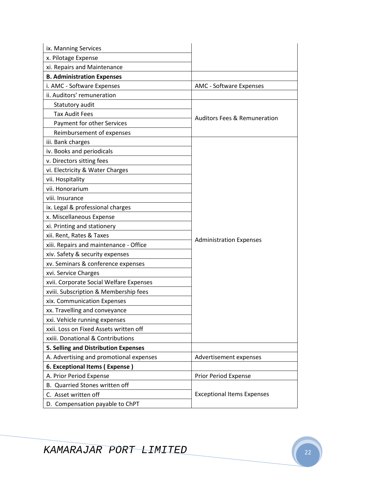| ix. Manning Services                    |                                         |
|-----------------------------------------|-----------------------------------------|
| x. Pilotage Expense                     |                                         |
| xi. Repairs and Maintenance             |                                         |
| <b>B. Administration Expenses</b>       |                                         |
| i. AMC - Software Expenses              | <b>AMC - Software Expenses</b>          |
| ii. Auditors' remuneration              |                                         |
| Statutory audit                         |                                         |
| <b>Tax Audit Fees</b>                   | <b>Auditors Fees &amp; Remuneration</b> |
| Payment for other Services              |                                         |
| Reimbursement of expenses               |                                         |
| iii. Bank charges                       |                                         |
| iv. Books and periodicals               |                                         |
| v. Directors sitting fees               |                                         |
| vi. Electricity & Water Charges         |                                         |
| vii. Hospitality                        |                                         |
| vii. Honorarium                         |                                         |
| viii. Insurance                         |                                         |
| ix. Legal & professional charges        |                                         |
| x. Miscellaneous Expense                |                                         |
| xi. Printing and stationery             |                                         |
| xii. Rent, Rates & Taxes                | <b>Administration Expenses</b>          |
| xiii. Repairs and maintenance - Office  |                                         |
| xiv. Safety & security expenses         |                                         |
| xv. Seminars & conference expenses      |                                         |
| xvi. Service Charges                    |                                         |
| xvii. Corporate Social Welfare Expenses |                                         |
| xviii. Subscription & Membership fees   |                                         |
| xix. Communication Expenses             |                                         |
| xx. Travelling and conveyance           |                                         |
| xxi. Vehicle running expenses           |                                         |
| xxii. Loss on Fixed Assets written off  |                                         |
| xxiii. Donational & Contributions       |                                         |
| 5. Selling and Distribution Expenses    |                                         |
| A. Advertising and promotional expenses | Advertisement expenses                  |
| 6. Exceptional Items (Expense)          |                                         |
| A. Prior Period Expense                 | Prior Period Expense                    |
| B. Quarried Stones written off          |                                         |
| C. Asset written off                    | <b>Exceptional Items Expenses</b>       |
| D. Compensation payable to ChPT         |                                         |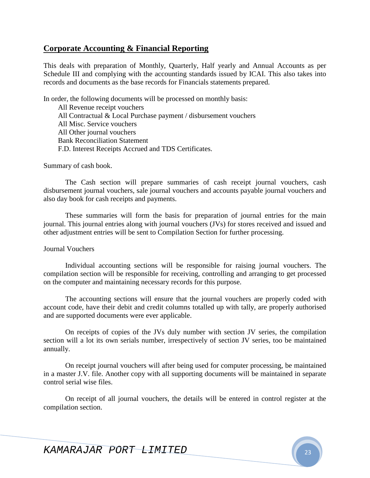# **Corporate Accounting & Financial Reporting**

This deals with preparation of Monthly, Quarterly, Half yearly and Annual Accounts as per Schedule III and complying with the accounting standards issued by ICAI. This also takes into records and documents as the base records for Financials statements prepared.

In order, the following documents will be processed on monthly basis: All Revenue receipt vouchers All Contractual & Local Purchase payment / disbursement vouchers All Misc. Service vouchers All Other journal vouchers Bank Reconciliation Statement F.D. Interest Receipts Accrued and TDS Certificates.

Summary of cash book.

The Cash section will prepare summaries of cash receipt journal vouchers, cash disbursement journal vouchers, sale journal vouchers and accounts payable journal vouchers and also day book for cash receipts and payments.

These summaries will form the basis for preparation of journal entries for the main journal. This journal entries along with journal vouchers (JVs) for stores received and issued and other adjustment entries will be sent to Compilation Section for further processing.

Journal Vouchers

Individual accounting sections will be responsible for raising journal vouchers. The compilation section will be responsible for receiving, controlling and arranging to get processed on the computer and maintaining necessary records for this purpose.

The accounting sections will ensure that the journal vouchers are properly coded with account code, have their debit and credit columns totalled up with tally, are properly authorised and are supported documents were ever applicable.

On receipts of copies of the JVs duly number with section JV series, the compilation section will a lot its own serials number, irrespectively of section JV series, too be maintained annually.

On receipt journal vouchers will after being used for computer processing, be maintained in a master J.V. file. Another copy with all supporting documents will be maintained in separate control serial wise files.

On receipt of all journal vouchers, the details will be entered in control register at the compilation section.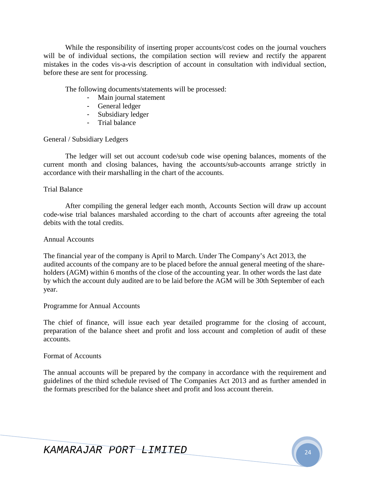While the responsibility of inserting proper accounts/cost codes on the journal vouchers will be of individual sections, the compilation section will review and rectify the apparent mistakes in the codes vis-a-vis description of account in consultation with individual section, before these are sent for processing.

The following documents/statements will be processed:

- Main journal statement
- General ledger
- Subsidiary ledger
- Trial balance

General / Subsidiary Ledgers

The ledger will set out account code/sub code wise opening balances, moments of the current month and closing balances, having the accounts/sub-accounts arrange strictly in accordance with their marshalling in the chart of the accounts.

### Trial Balance

After compiling the general ledger each month, Accounts Section will draw up account code-wise trial balances marshaled according to the chart of accounts after agreeing the total debits with the total credits.

#### Annual Accounts

The financial year of the company is April to March. Under The Company's Act 2013, the audited accounts of the company are to be placed before the annual general meeting of the shareholders (AGM) within 6 months of the close of the accounting year. In other words the last date by which the account duly audited are to be laid before the AGM will be 30th September of each year.

### Programme for Annual Accounts

The chief of finance, will issue each year detailed programme for the closing of account, preparation of the balance sheet and profit and loss account and completion of audit of these accounts.

### Format of Accounts

The annual accounts will be prepared by the company in accordance with the requirement and guidelines of the third schedule revised of The Companies Act 2013 and as further amended in the formats prescribed for the balance sheet and profit and loss account therein.

KAMARAJAR PORT LIMITED <sup>24</sup>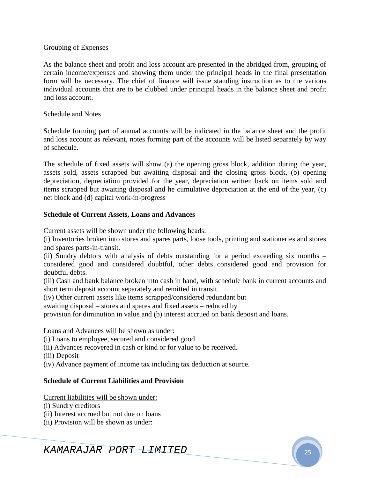### Grouping of Expenses

As the balance sheet and profit and loss account are presented in the abridged from, grouping of certain income/expenses and showing them under the principal heads in the final presentation form will be necessary. The chief of finance will issue standing instruction as to the various individual accounts that are to be clubbed under principal heads in the balance sheet and profit and loss account.

### Schedule and Notes

Schedule forming part of annual accounts will be indicated in the balance sheet and the profit and loss account as relevant, notes forming part of the accounts will be listed separately by way of schedule.

The schedule of fixed assets will show (a) the opening gross block, addition during the year, assets sold, assets scrapped but awaiting disposal and the closing gross block, (b) opening depreciation, depreciation provided for the year, depreciation written back on items sold and items scrapped but awaiting disposal and he cumulative depreciation at the end of the year, (c) net block and (d) capital work-in-progress

### **Schedule of Current Assets, Loans and Advances**

Current assets will be shown under the following heads:

(i) Inventories broken into stores and spares parts, loose tools, printing and stationeries and stores and spares parts-in-transit.

(ii) Sundry debtors with analysis of debts outstanding for a period exceeding six months – considered good and considered doubtful, other debts considered good and provision for doubtful debts.

(iii) Cash and bank balance broken into cash in hand, with schedule bank in current accounts and short term deposit account separately and remitted in transit.

(iv) Other current assets like items scrapped/considered redundant but

awaiting disposal – stores and spares and fixed assets – reduced by

provision for diminution in value and (b) interest accrued on bank deposit and loans.

### Loans and Advances will be shown as under:

(i) Loans to employee, secured and considered good

(ii) Advances recovered in cash or kind or for value to be received.

(iii) Deposit

(iv) Advance payment of income tax including tax deduction at source.

### **Schedule of Current Liabilities and Provision**

Current liabilities will be shown under:

(i) Sundry creditors

(ii) Interest accrued but not due on loans

(ii) Provision will be shown as under:

KAMARAJAR PORT LIMITED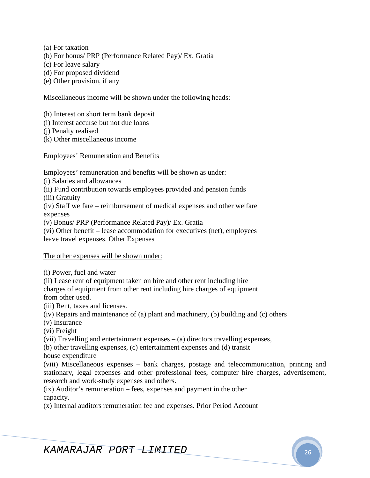- (a) For taxation
- (b) For bonus/ PRP (Performance Related Pay)/ Ex. Gratia
- (c) For leave salary
- (d) For proposed dividend
- (e) Other provision, if any

### Miscellaneous income will be shown under the following heads:

- (h) Interest on short term bank deposit
- (i) Interest accurse but not due loans
- (j) Penalty realised
- (k) Other miscellaneous income

Employees' Remuneration and Benefits

Employees' remuneration and benefits will be shown as under:

- (i) Salaries and allowances
- (ii) Fund contribution towards employees provided and pension funds
- (iii) Gratuity

(iv) Staff welfare – reimbursement of medical expenses and other welfare expenses

(v) Bonus/ PRP (Performance Related Pay)/ Ex. Gratia

(vi) Other benefit – lease accommodation for executives (net), employees leave travel expenses. Other Expenses

### The other expenses will be shown under:

(i) Power, fuel and water

(ii) Lease rent of equipment taken on hire and other rent including hire charges of equipment from other rent including hire charges of equipment from other used.

(iii) Rent, taxes and licenses.

- (iv) Repairs and maintenance of (a) plant and machinery, (b) building and (c) others
- (v) Insurance

(vi) Freight

(vii) Travelling and entertainment expenses – (a) directors travelling expenses,

(b) other travelling expenses, (c) entertainment expenses and (d) transit house expenditure

(viii) Miscellaneous expenses – bank charges, postage and telecommunication, printing and stationary, legal expenses and other professional fees, computer hire charges, advertisement, research and work-study expenses and others.

(ix) Auditor's remuneration – fees, expenses and payment in the other capacity.

(x) Internal auditors remuneration fee and expenses. Prior Period Account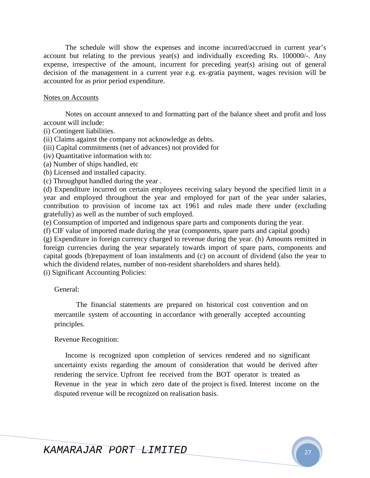The schedule will show the expenses and income incurred/accrued in current year's account but relating to the previous year(s) and individually exceeding Rs. 100000/-. Any expense, irrespective of the amount, incurrent for preceding year(s) arising out of general decision of the management in a current year e.g. ex-gratia payment, wages revision will be accounted for as prior period expenditure.

#### Notes on Accounts

Notes on account annexed to and formatting part of the balance sheet and profit and loss account will include:

(i) Contingent liabilities.

(ii) Claims against the company not acknowledge as debts.

(iii) Capital commitments (net of advances) not provided for

(iv) Quantitative information with to:

(a) Number of ships handled, etc

(b) Licensed and installed capacity.

(c) Throughput handled during the year .

(d) Expenditure incurred on certain employees receiving salary beyond the specified limit in a year and employed throughout the year and employed for part of the year under salaries, contribution to provision of income tax act 1961 and rules made there under (excluding gratefully) as well as the number of such employed.

(e) Consumption of imported and indigenous spare parts and components during the year.

(f) CIF value of imported made during the year (components, spare parts and capital goods)

(g) Expenditure in foreign currency charged to revenue during the year. (h) Amounts remitted in foreign currencies during the year separately towards import of spare parts, components and capital goods (b)repayment of loan instalments and (c) on account of dividend (also the year to which the dividend relates, number of non-resident shareholders and shares held).

(i) Significant Accounting Policies:

General:

The financial statements are prepared on historical cost convention and on mercantile system of accounting in accordance with generally accepted accounting principles.

### Revenue Recognition:

Income is recognized upon completion of services rendered and no significant uncertainty exists regarding the amount of consideration that would be derived after rendering the service. Upfront fee received from the BOT operator is treated as Revenue in the year in which zero date of the project is fixed. Interest income on the disputed revenue will be recognized on realisation basis.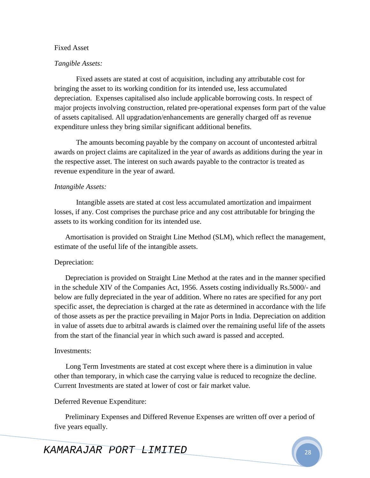#### Fixed Asset

#### *Tangible Assets:*

Fixed assets are stated at cost of acquisition, including any attributable cost for bringing the asset to its working condition for its intended use, less accumulated depreciation. Expenses capitalised also include applicable borrowing costs. In respect of major projects involving construction, related pre-operational expenses form part of the value of assets capitalised. All upgradation/enhancements are generally charged off as revenue expenditure unless they bring similar significant additional benefits.

The amounts becoming payable by the company on account of uncontested arbitral awards on project claims are capitalized in the year of awards as additions during the year in the respective asset. The interest on such awards payable to the contractor is treated as revenue expenditure in the year of award.

### *Intangible Assets:*

Intangible assets are stated at cost less accumulated amortization and impairment losses, if any. Cost comprises the purchase price and any cost attributable for bringing the assets to its working condition for its intended use.

Amortisation is provided on Straight Line Method (SLM), which reflect the management, estimate of the useful life of the intangible assets.

#### Depreciation:

Depreciation is provided on Straight Line Method at the rates and in the manner specified in the schedule XIV of the Companies Act, 1956. Assets costing individually Rs.5000/- and below are fully depreciated in the year of addition. Where no rates are specified for any port specific asset, the depreciation is charged at the rate as determined in accordance with the life of those assets as per the practice prevailing in Major Ports in India. Depreciation on addition in value of assets due to arbitral awards is claimed over the remaining useful life of the assets from the start of the financial year in which such award is passed and accepted.

#### Investments:

Long Term Investments are stated at cost except where there is a diminution in value other than temporary, in which case the carrying value is reduced to recognize the decline. Current Investments are stated at lower of cost or fair market value.

#### Deferred Revenue Expenditure:

Preliminary Expenses and Differed Revenue Expenses are written off over a period of five years equally.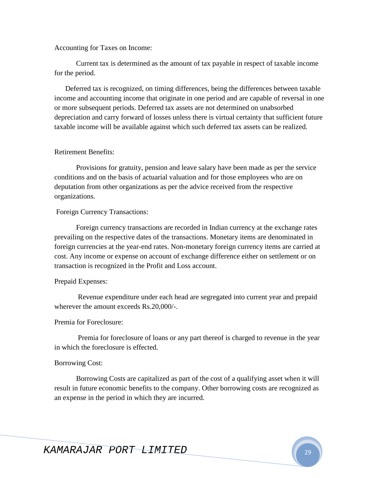#### Accounting for Taxes on Income:

Current tax is determined as the amount of tax payable in respect of taxable income for the period.

Deferred tax is recognized, on timing differences, being the differences between taxable income and accounting income that originate in one period and are capable of reversal in one or more subsequent periods. Deferred tax assets are not determined on unabsorbed depreciation and carry forward of losses unless there is virtual certainty that sufficient future taxable income will be available against which such deferred tax assets can be realized.

#### Retirement Benefits:

Provisions for gratuity, pension and leave salary have been made as per the service conditions and on the basis of actuarial valuation and for those employees who are on deputation from other organizations as per the advice received from the respective organizations.

#### Foreign Currency Transactions:

Foreign currency transactions are recorded in Indian currency at the exchange rates prevailing on the respective dates of the transactions. Monetary items are denominated in foreign currencies at the year-end rates. Non-monetary foreign currency items are carried at cost. Any income or expense on account of exchange difference either on settlement or on transaction is recognized in the Profit and Loss account.

#### Prepaid Expenses:

 Revenue expenditure under each head are segregated into current year and prepaid wherever the amount exceeds Rs.20,000/-.

#### Premia for Foreclosure:

 Premia for foreclosure of loans or any part thereof is charged to revenue in the year in which the foreclosure is effected.

#### Borrowing Cost:

Borrowing Costs are capitalized as part of the cost of a qualifying asset when it will result in future economic benefits to the company. Other borrowing costs are recognized as an expense in the period in which they are incurred.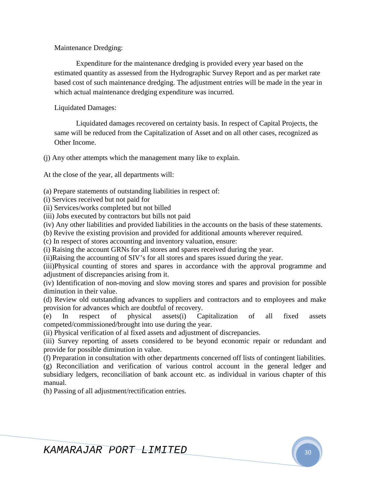Maintenance Dredging:

Expenditure for the maintenance dredging is provided every year based on the estimated quantity as assessed from the Hydrographic Survey Report and as per market rate based cost of such maintenance dredging. The adjustment entries will be made in the year in which actual maintenance dredging expenditure was incurred.

Liquidated Damages:

Liquidated damages recovered on certainty basis. In respect of Capital Projects, the same will be reduced from the Capitalization of Asset and on all other cases, recognized as Other Income.

(j) Any other attempts which the management many like to explain.

At the close of the year, all departments will:

(a) Prepare statements of outstanding liabilities in respect of:

(i) Services received but not paid for

(ii) Services/works completed but not billed

(iii) Jobs executed by contractors but bills not paid

(iv) Any other liabilities and provided liabilities in the accounts on the basis of these statements.

(b) Revive the existing provision and provided for additional amounts wherever required.

(c) In respect of stores accounting and inventory valuation, ensure:

(i) Raising the account GRNs for all stores and spares received during the year.

(ii)Raising the accounting of SIV's for all stores and spares issued during the year.

(iii)Physical counting of stores and spares in accordance with the approval programme and adjustment of discrepancies arising from it.

(iv) Identification of non-moving and slow moving stores and spares and provision for possible diminution in their value.

(d) Review old outstanding advances to suppliers and contractors and to employees and make provision for advances which are doubtful of recovery.

(e) In respect of physical assets(i) Capitalization of all fixed assets competed/commissioned/brought into use during the year.

(ii) Physical verification of al fixed assets and adjustment of discrepancies.

(iii) Survey reporting of assets considered to be beyond economic repair or redundant and provide for possible diminution in value.

(f) Preparation in consultation with other departments concerned off lists of contingent liabilities.

(g) Reconciliation and verification of various control account in the general ledger and subsidiary ledgers, reconciliation of bank account etc. as individual in various chapter of this manual.

(h) Passing of all adjustment/rectification entries.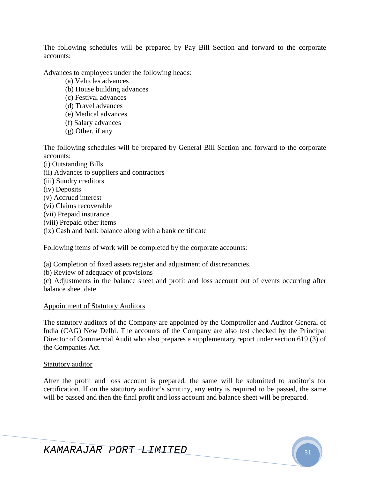The following schedules will be prepared by Pay Bill Section and forward to the corporate accounts:

Advances to employees under the following heads:

- (a) Vehicles advances
- (b) House building advances
- (c) Festival advances
- (d) Travel advances
- (e) Medical advances
- (f) Salary advances
- (g) Other, if any

The following schedules will be prepared by General Bill Section and forward to the corporate accounts:

- (i) Outstanding Bills
- (ii) Advances to suppliers and contractors
- (iii) Sundry creditors
- (iv) Deposits
- (v) Accrued interest
- (vi) Claims recoverable
- (vii) Prepaid insurance
- (viii) Prepaid other items
- (ix) Cash and bank balance along with a bank certificate

Following items of work will be completed by the corporate accounts:

(a) Completion of fixed assets register and adjustment of discrepancies.

(b) Review of adequacy of provisions

(c) Adjustments in the balance sheet and profit and loss account out of events occurring after balance sheet date.

### Appointment of Statutory Auditors

The statutory auditors of the Company are appointed by the Comptroller and Auditor General of India (CAG) New Delhi. The accounts of the Company are also test checked by the Principal Director of Commercial Audit who also prepares a supplementary report under section 619 (3) of the Companies Act.

### Statutory auditor

After the profit and loss account is prepared, the same will be submitted to auditor's for certification. If on the statutory auditor's scrutiny, any entry is required to be passed, the same will be passed and then the final profit and loss account and balance sheet will be prepared.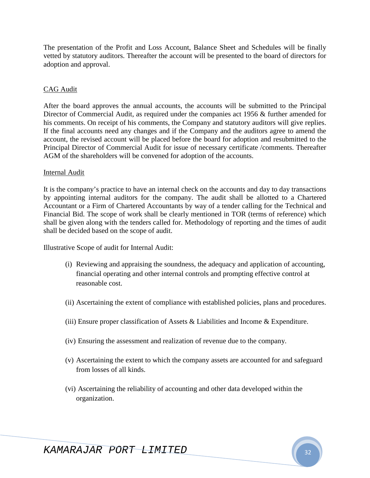The presentation of the Profit and Loss Account, Balance Sheet and Schedules will be finally vetted by statutory auditors. Thereafter the account will be presented to the board of directors for adoption and approval.

### CAG Audit

After the board approves the annual accounts, the accounts will be submitted to the Principal Director of Commercial Audit, as required under the companies act 1956 & further amended for his comments. On receipt of his comments, the Company and statutory auditors will give replies. If the final accounts need any changes and if the Company and the auditors agree to amend the account, the revised account will be placed before the board for adoption and resubmitted to the Principal Director of Commercial Audit for issue of necessary certificate /comments. Thereafter AGM of the shareholders will be convened for adoption of the accounts.

### Internal Audit

It is the company's practice to have an internal check on the accounts and day to day transactions by appointing internal auditors for the company. The audit shall be allotted to a Chartered Accountant or a Firm of Chartered Accountants by way of a tender calling for the Technical and Financial Bid. The scope of work shall be clearly mentioned in TOR (terms of reference) which shall be given along with the tenders called for. Methodology of reporting and the times of audit shall be decided based on the scope of audit.

Illustrative Scope of audit for Internal Audit:

- (i) Reviewing and appraising the soundness, the adequacy and application of accounting, financial operating and other internal controls and prompting effective control at reasonable cost.
- (ii) Ascertaining the extent of compliance with established policies, plans and procedures.
- (iii) Ensure proper classification of Assets  $\&$  Liabilities and Income  $\&$  Expenditure.
- (iv) Ensuring the assessment and realization of revenue due to the company.
- (v) Ascertaining the extent to which the company assets are accounted for and safeguard from losses of all kinds.
- (vi) Ascertaining the reliability of accounting and other data developed within the organization.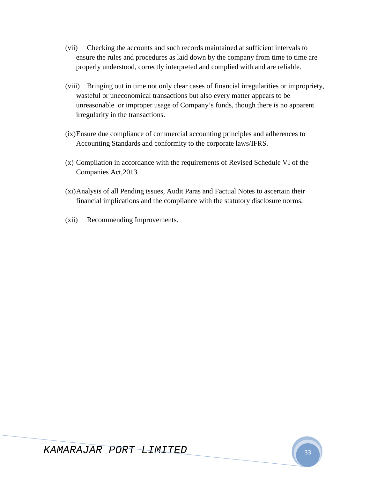- (vii) Checking the accounts and such records maintained at sufficient intervals to ensure the rules and procedures as laid down by the company from time to time are properly understood, correctly interpreted and complied with and are reliable.
- (viii) Bringing out in time not only clear cases of financial irregularities or impropriety, wasteful or uneconomical transactions but also every matter appears to be unreasonable or improper usage of Company's funds, though there is no apparent irregularity in the transactions.
- (ix)Ensure due compliance of commercial accounting principles and adherences to Accounting Standards and conformity to the corporate laws/IFRS.
- (x) Compilation in accordance with the requirements of Revised Schedule VI of the Companies Act,2013.
- (xi)Analysis of all Pending issues, Audit Paras and Factual Notes to ascertain their financial implications and the compliance with the statutory disclosure norms.
- (xii) Recommending Improvements.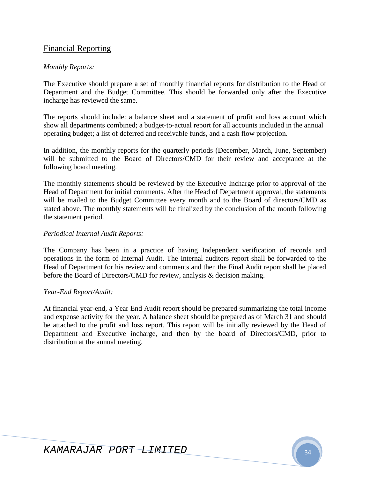# Financial Reporting

### *Monthly Reports:*

The Executive should prepare a set of monthly financial reports for distribution to the Head of Department and the Budget Committee. This should be forwarded only after the Executive incharge has reviewed the same.

The reports should include: a balance sheet and a statement of profit and loss account which show all departments combined; a budget-to-actual report for all accounts included in the annual operating budget; a list of deferred and receivable funds, and a cash flow projection.

In addition, the monthly reports for the quarterly periods (December, March, June, September) will be submitted to the Board of Directors/CMD for their review and acceptance at the following board meeting.

The monthly statements should be reviewed by the Executive Incharge prior to approval of the Head of Department for initial comments. After the Head of Department approval, the statements will be mailed to the Budget Committee every month and to the Board of directors/CMD as stated above. The monthly statements will be finalized by the conclusion of the month following the statement period.

### *Periodical Internal Audit Reports:*

The Company has been in a practice of having Independent verification of records and operations in the form of Internal Audit. The Internal auditors report shall be forwarded to the Head of Department for his review and comments and then the Final Audit report shall be placed before the Board of Directors/CMD for review, analysis & decision making.

### *Year-End Report/Audit:*

At financial year-end, a Year End Audit report should be prepared summarizing the total income and expense activity for the year. A balance sheet should be prepared as of March 31 and should be attached to the profit and loss report. This report will be initially reviewed by the Head of Department and Executive incharge, and then by the board of Directors/CMD, prior to distribution at the annual meeting.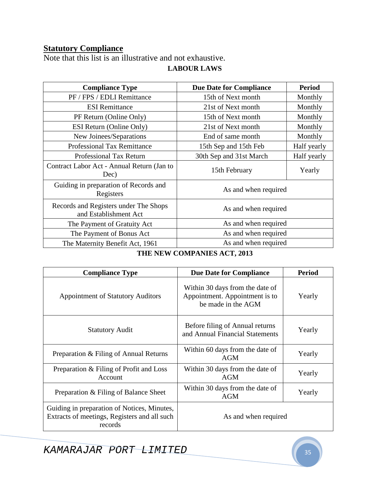# **Statutory Compliance**

Note that this list is an illustrative and not exhaustive. **LABOUR LAWS** 

| <b>Compliance Type</b>                                         | <b>Due Date for Compliance</b> | <b>Period</b> |
|----------------------------------------------------------------|--------------------------------|---------------|
| PF / FPS / EDLI Remittance                                     | 15th of Next month             | Monthly       |
| <b>ESI</b> Remittance                                          | 21st of Next month             | Monthly       |
| PF Return (Online Only)                                        | 15th of Next month             | Monthly       |
| ESI Return (Online Only)                                       | 21st of Next month             | Monthly       |
| New Joinees/Separations                                        | End of same month              | Monthly       |
| <b>Professional Tax Remittance</b>                             | 15th Sep and 15th Feb          | Half yearly   |
| <b>Professional Tax Return</b>                                 | 30th Sep and 31st March        | Half yearly   |
| Contract Labor Act - Annual Return (Jan to<br>Dec)             | 15th February                  | Yearly        |
| Guiding in preparation of Records and<br>Registers             | As and when required           |               |
| Records and Registers under The Shops<br>and Establishment Act | As and when required           |               |
| The Payment of Gratuity Act                                    | As and when required           |               |
| The Payment of Bonus Act                                       | As and when required           |               |
| The Maternity Benefit Act, 1961                                | As and when required           |               |

# **THE NEW COMPANIES ACT, 2013**

| <b>Compliance Type</b>                                                                                 | <b>Due Date for Compliance</b>                                                          | <b>Period</b> |
|--------------------------------------------------------------------------------------------------------|-----------------------------------------------------------------------------------------|---------------|
| <b>Appointment of Statutory Auditors</b>                                                               | Within 30 days from the date of<br>Appointment. Appointment is to<br>be made in the AGM | Yearly        |
| <b>Statutory Audit</b>                                                                                 | Before filing of Annual returns<br>and Annual Financial Statements                      | Yearly        |
| Preparation & Filing of Annual Returns                                                                 | Within 60 days from the date of<br><b>AGM</b>                                           | Yearly        |
| Preparation & Filing of Profit and Loss<br>Account                                                     | Within 30 days from the date of<br>AGM                                                  | Yearly        |
| Preparation & Filing of Balance Sheet                                                                  | Within 30 days from the date of<br><b>AGM</b>                                           | Yearly        |
| Guiding in preparation of Notices, Minutes,<br>Extracts of meetings, Registers and all such<br>records | As and when required                                                                    |               |

KAMARAJAR PORT LIMITED 35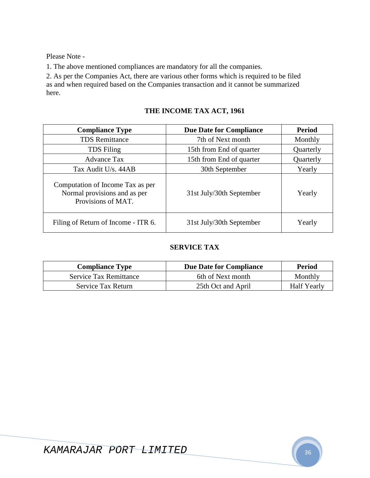Please Note -

1. The above mentioned compliances are mandatory for all the companies.

2. As per the Companies Act, there are various other forms which is required to be filed as and when required based on the Companies transaction and it cannot be summarized here.

| <b>Compliance Type</b>                                                                 | <b>Due Date for Compliance</b> | <b>Period</b> |
|----------------------------------------------------------------------------------------|--------------------------------|---------------|
| <b>TDS</b> Remittance                                                                  | 7th of Next month              | Monthly       |
| <b>TDS</b> Filing                                                                      | 15th from End of quarter       | Quarterly     |
| <b>Advance Tax</b>                                                                     | 15th from End of quarter       | Quarterly     |
| Tax Audit U/s. 44AB                                                                    | 30th September                 | Yearly        |
| Computation of Income Tax as per<br>Normal provisions and as per<br>Provisions of MAT. | 31st July/30th September       | Yearly        |
| Filing of Return of Income - ITR 6.                                                    | 31st July/30th September       | Yearly        |

## **SERVICE TAX**

| <b>Compliance Type</b>        | <b>Due Date for Compliance</b> | Period             |
|-------------------------------|--------------------------------|--------------------|
| <b>Service Tax Remittance</b> | 6th of Next month              | Monthly            |
| Service Tax Return            | 25th Oct and April             | <b>Half Yearly</b> |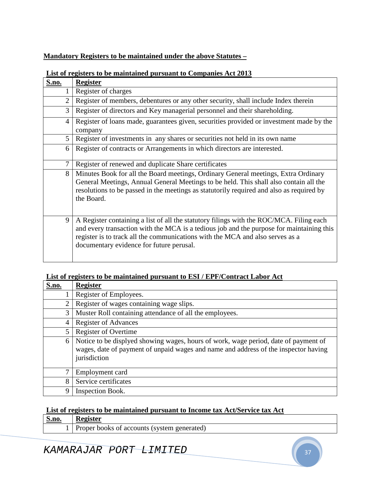### **Mandatory Registers to be maintained under the above Statutes –**

| S.no. | <b>Register</b>                                                                                                                                                                                                                                                                                                  |
|-------|------------------------------------------------------------------------------------------------------------------------------------------------------------------------------------------------------------------------------------------------------------------------------------------------------------------|
| 1     | Register of charges                                                                                                                                                                                                                                                                                              |
| 2     | Register of members, debentures or any other security, shall include Index therein                                                                                                                                                                                                                               |
| 3     | Register of directors and Key managerial personnel and their shareholding.                                                                                                                                                                                                                                       |
| 4     | Register of loans made, guarantees given, securities provided or investment made by the<br>company                                                                                                                                                                                                               |
| 5     | Register of investments in any shares or securities not held in its own name                                                                                                                                                                                                                                     |
| 6     | Register of contracts or Arrangements in which directors are interested.                                                                                                                                                                                                                                         |
| 7     | Register of renewed and duplicate Share certificates                                                                                                                                                                                                                                                             |
| 8     | Minutes Book for all the Board meetings, Ordinary General meetings, Extra Ordinary<br>General Meetings, Annual General Meetings to be held. This shall also contain all the<br>resolutions to be passed in the meetings as statutorily required and also as required by<br>the Board.                            |
| 9     | A Register containing a list of all the statutory filings with the ROC/MCA. Filing each<br>and every transaction with the MCA is a tedious job and the purpose for maintaining this<br>register is to track all the communications with the MCA and also serves as a<br>documentary evidence for future perusal. |

### **List of registers to be maintained pursuant to Companies Act 2013**

### **List of registers to be maintained pursuant to ESI / EPF/Contract Labor Act**

| <b>S.no.</b>   | <b>Register</b>                                                                                                                                                                            |
|----------------|--------------------------------------------------------------------------------------------------------------------------------------------------------------------------------------------|
|                | Register of Employees.                                                                                                                                                                     |
| 2              | Register of wages containing wage slips.                                                                                                                                                   |
| 3              | Muster Roll containing attendance of all the employees.                                                                                                                                    |
| $\overline{4}$ | <b>Register of Advances</b>                                                                                                                                                                |
| 5              | Register of Overtime                                                                                                                                                                       |
| 6              | Notice to be displyed showing wages, hours of work, wage period, date of payment of<br>wages, date of payment of unpaid wages and name and address of the inspector having<br>jurisdiction |
|                | Employment card                                                                                                                                                                            |
| 8              | Service certificates                                                                                                                                                                       |
| 9              | Inspection Book.                                                                                                                                                                           |

### **List of registers to be maintained pursuant to Income tax Act/Service tax Act**

| <b>S.no.</b> | <b>Register</b>                             |
|--------------|---------------------------------------------|
|              | Proper books of accounts (system generated) |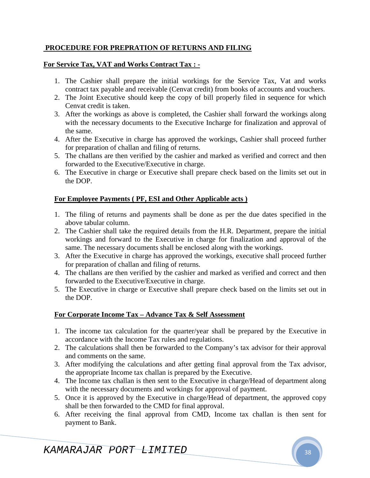### **PROCEDURE FOR PREPRATION OF RETURNS AND FILING**

### **For Service Tax, VAT and Works Contract Tax : -**

- 1. The Cashier shall prepare the initial workings for the Service Tax, Vat and works contract tax payable and receivable (Cenvat credit) from books of accounts and vouchers.
- 2. The Joint Executive should keep the copy of bill properly filed in sequence for which Cenvat credit is taken.
- 3. After the workings as above is completed, the Cashier shall forward the workings along with the necessary documents to the Executive Incharge for finalization and approval of the same.
- 4. After the Executive in charge has approved the workings, Cashier shall proceed further for preparation of challan and filing of returns.
- 5. The challans are then verified by the cashier and marked as verified and correct and then forwarded to the Executive/Executive in charge.
- 6. The Executive in charge or Executive shall prepare check based on the limits set out in the DOP.

### **For Employee Payments ( PF, ESI and Other Applicable acts )**

- 1. The filing of returns and payments shall be done as per the due dates specified in the above tabular column.
- 2. The Cashier shall take the required details from the H.R. Department, prepare the initial workings and forward to the Executive in charge for finalization and approval of the same. The necessary documents shall be enclosed along with the workings.
- 3. After the Executive in charge has approved the workings, executive shall proceed further for preparation of challan and filing of returns.
- 4. The challans are then verified by the cashier and marked as verified and correct and then forwarded to the Executive/Executive in charge.
- 5. The Executive in charge or Executive shall prepare check based on the limits set out in the DOP.

### **For Corporate Income Tax – Advance Tax & Self Assessment**

- 1. The income tax calculation for the quarter/year shall be prepared by the Executive in accordance with the Income Tax rules and regulations.
- 2. The calculations shall then be forwarded to the Company's tax advisor for their approval and comments on the same.
- 3. After modifying the calculations and after getting final approval from the Tax advisor, the appropriate Income tax challan is prepared by the Executive.
- 4. The Income tax challan is then sent to the Executive in charge/Head of department along with the necessary documents and workings for approval of payment.
- 5. Once it is approved by the Executive in charge/Head of department, the approved copy shall be then forwarded to the CMD for final approval.
- 6. After receiving the final approval from CMD, Income tax challan is then sent for payment to Bank.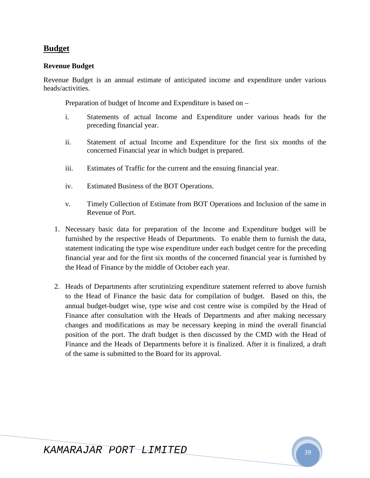# **Budget**

### **Revenue Budget**

Revenue Budget is an annual estimate of anticipated income and expenditure under various heads/activities.

Preparation of budget of Income and Expenditure is based on –

- i. Statements of actual Income and Expenditure under various heads for the preceding financial year.
- ii. Statement of actual Income and Expenditure for the first six months of the concerned Financial year in which budget is prepared.
- iii. Estimates of Traffic for the current and the ensuing financial year.
- iv. Estimated Business of the BOT Operations.
- v. Timely Collection of Estimate from BOT Operations and Inclusion of the same in Revenue of Port.
- 1. Necessary basic data for preparation of the Income and Expenditure budget will be furnished by the respective Heads of Departments. To enable them to furnish the data, statement indicating the type wise expenditure under each budget centre for the preceding financial year and for the first six months of the concerned financial year is furnished by the Head of Finance by the middle of October each year.
- 2. Heads of Departments after scrutinizing expenditure statement referred to above furnish to the Head of Finance the basic data for compilation of budget. Based on this, the annual budget-budget wise, type wise and cost centre wise is compiled by the Head of Finance after consultation with the Heads of Departments and after making necessary changes and modifications as may be necessary keeping in mind the overall financial position of the port. The draft budget is then discussed by the CMD with the Head of Finance and the Heads of Departments before it is finalized. After it is finalized, a draft of the same is submitted to the Board for its approval.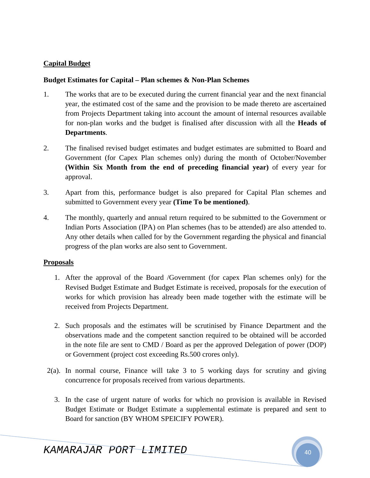### **Capital Budget**

### **Budget Estimates for Capital – Plan schemes & Non-Plan Schemes**

- 1. The works that are to be executed during the current financial year and the next financial year, the estimated cost of the same and the provision to be made thereto are ascertained from Projects Department taking into account the amount of internal resources available for non-plan works and the budget is finalised after discussion with all the **Heads of Departments**.
- 2. The finalised revised budget estimates and budget estimates are submitted to Board and Government (for Capex Plan schemes only) during the month of October/November **(Within Six Month from the end of preceding financial year)** of every year for approval.
- 3. Apart from this, performance budget is also prepared for Capital Plan schemes and submitted to Government every year **(Time To be mentioned)**.
- 4. The monthly, quarterly and annual return required to be submitted to the Government or Indian Ports Association (IPA) on Plan schemes (has to be attended) are also attended to. Any other details when called for by the Government regarding the physical and financial progress of the plan works are also sent to Government.

### **Proposals**

- 1. After the approval of the Board /Government (for capex Plan schemes only) for the Revised Budget Estimate and Budget Estimate is received, proposals for the execution of works for which provision has already been made together with the estimate will be received from Projects Department.
- 2. Such proposals and the estimates will be scrutinised by Finance Department and the observations made and the competent sanction required to be obtained will be accorded in the note file are sent to CMD / Board as per the approved Delegation of power (DOP) or Government (project cost exceeding Rs.500 crores only).
- 2(a). In normal course, Finance will take 3 to 5 working days for scrutiny and giving concurrence for proposals received from various departments.
	- 3. In the case of urgent nature of works for which no provision is available in Revised Budget Estimate or Budget Estimate a supplemental estimate is prepared and sent to Board for sanction (BY WHOM SPEICIFY POWER).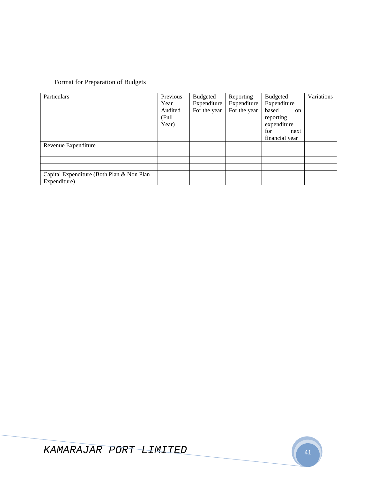# Format for Preparation of Budgets

| Particulars                               | Previous | Budgeted     | Reporting    | <b>Budgeted</b>        | Variations |
|-------------------------------------------|----------|--------------|--------------|------------------------|------------|
|                                           | Year     | Expenditure  | Expenditure  | Expenditure            |            |
|                                           | Audited  | For the year | For the year | based<br><sub>on</sub> |            |
|                                           | (Full    |              |              | reporting              |            |
|                                           | Year)    |              |              | expenditure            |            |
|                                           |          |              |              | for<br>next            |            |
|                                           |          |              |              | financial year         |            |
| Revenue Expenditure                       |          |              |              |                        |            |
|                                           |          |              |              |                        |            |
|                                           |          |              |              |                        |            |
|                                           |          |              |              |                        |            |
| Capital Expenditure (Both Plan & Non Plan |          |              |              |                        |            |
| Expenditure)                              |          |              |              |                        |            |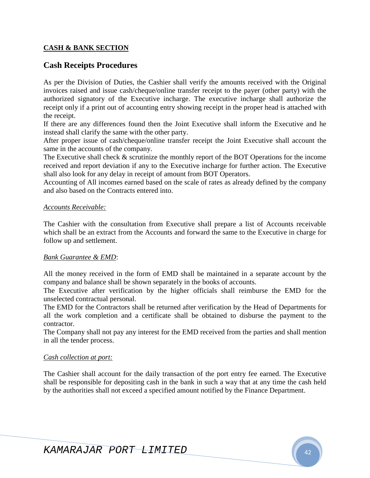### **CASH & BANK SECTION**

# **Cash Receipts Procedures**

As per the Division of Duties, the Cashier shall verify the amounts received with the Original invoices raised and issue cash/cheque/online transfer receipt to the payer (other party) with the authorized signatory of the Executive incharge. The executive incharge shall authorize the receipt only if a print out of accounting entry showing receipt in the proper head is attached with the receipt.

If there are any differences found then the Joint Executive shall inform the Executive and he instead shall clarify the same with the other party.

After proper issue of cash/cheque/online transfer receipt the Joint Executive shall account the same in the accounts of the company.

The Executive shall check & scrutinize the monthly report of the BOT Operations for the income received and report deviation if any to the Executive incharge for further action. The Executive shall also look for any delay in receipt of amount from BOT Operators.

Accounting of All incomes earned based on the scale of rates as already defined by the company and also based on the Contracts entered into.

### *Accounts Receivable:*

The Cashier with the consultation from Executive shall prepare a list of Accounts receivable which shall be an extract from the Accounts and forward the same to the Executive in charge for follow up and settlement.

### *Bank Guarantee & EMD*:

All the money received in the form of EMD shall be maintained in a separate account by the company and balance shall be shown separately in the books of accounts.

The Executive after verification by the higher officials shall reimburse the EMD for the unselected contractual personal.

The EMD for the Contractors shall be returned after verification by the Head of Departments for all the work completion and a certificate shall be obtained to disburse the payment to the contractor.

The Company shall not pay any interest for the EMD received from the parties and shall mention in all the tender process.

### *Cash collection at port:*

The Cashier shall account for the daily transaction of the port entry fee earned. The Executive shall be responsible for depositing cash in the bank in such a way that at any time the cash held by the authorities shall not exceed a specified amount notified by the Finance Department.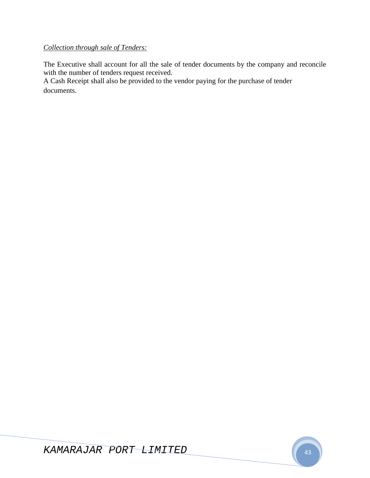# *Collection through sale of Tenders:*

The Executive shall account for all the sale of tender documents by the company and reconcile with the number of tenders request received.

A Cash Receipt shall also be provided to the vendor paying for the purchase of tender documents.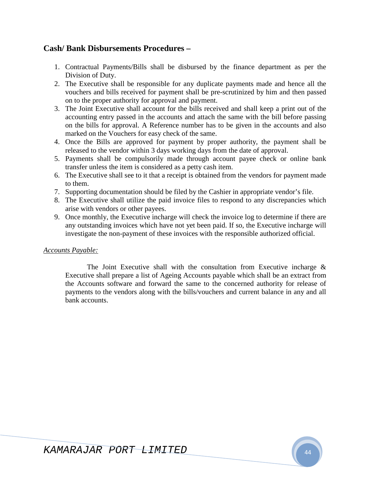# **Cash/ Bank Disbursements Procedures –**

- 1. Contractual Payments/Bills shall be disbursed by the finance department as per the Division of Duty.
- 2. The Executive shall be responsible for any duplicate payments made and hence all the vouchers and bills received for payment shall be pre-scrutinized by him and then passed on to the proper authority for approval and payment.
- 3. The Joint Executive shall account for the bills received and shall keep a print out of the accounting entry passed in the accounts and attach the same with the bill before passing on the bills for approval. A Reference number has to be given in the accounts and also marked on the Vouchers for easy check of the same.
- 4. Once the Bills are approved for payment by proper authority, the payment shall be released to the vendor within 3 days working days from the date of approval.
- 5. Payments shall be compulsorily made through account payee check or online bank transfer unless the item is considered as a petty cash item.
- 6. The Executive shall see to it that a receipt is obtained from the vendors for payment made to them.
- 7. Supporting documentation should be filed by the Cashier in appropriate vendor's file.
- 8. The Executive shall utilize the paid invoice files to respond to any discrepancies which arise with vendors or other payees.
- 9. Once monthly, the Executive incharge will check the invoice log to determine if there are any outstanding invoices which have not yet been paid. If so, the Executive incharge will investigate the non-payment of these invoices with the responsible authorized official.

### *Accounts Payable:*

The Joint Executive shall with the consultation from Executive incharge  $\&$ Executive shall prepare a list of Ageing Accounts payable which shall be an extract from the Accounts software and forward the same to the concerned authority for release of payments to the vendors along with the bills/vouchers and current balance in any and all bank accounts.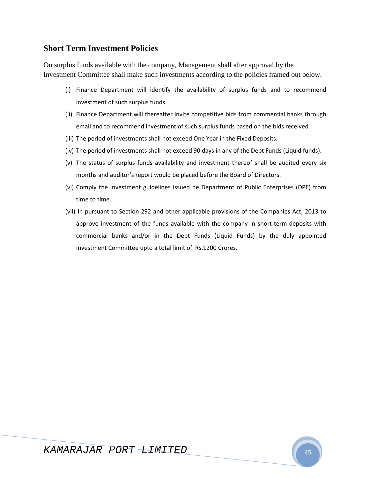# **Short Term Investment Policies**

On surplus funds available with the company, Management shall after approval by the Investment Committee shall make such investments according to the policies framed out below.

- (i) Finance Department will identify the availability of surplus funds and to recommend investment of such surplus funds.
- (ii) Finance Department will thereafter invite competitive bids from commercial banks through email and to recommend investment of such surplus funds based on the bids received.
- (iii) The period of investments shall not exceed One Year in the Fixed Deposits.
- (iv) The period of investments shall not exceed 90 days in any of the Debt Funds (Liquid funds).
- (v) The status of surplus funds availability and investment thereof shall be audited every six months and auditor's report would be placed before the Board of Directors.
- (vi) Comply the Investment guidelines issued be Department of Public Enterprises (DPE) from time to time.
- (vii) In pursuant to Section 292 and other applicable provisions of the Companies Act, 2013 to approve investment of the funds available with the company in short-term-deposits with commercial banks and/or in the Debt Funds (Liquid Funds) by the duly appointed Investment Committee upto a total limit of Rs.1200 Crores.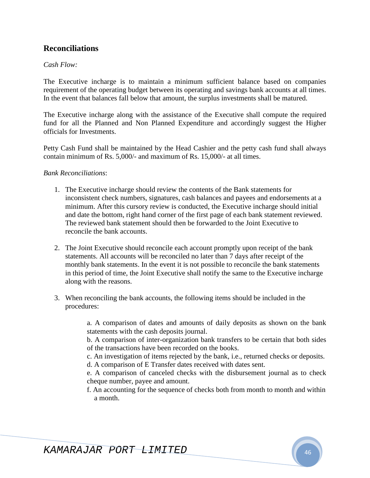# **Reconciliations**

### *Cash Flow:*

The Executive incharge is to maintain a minimum sufficient balance based on companies requirement of the operating budget between its operating and savings bank accounts at all times. In the event that balances fall below that amount, the surplus investments shall be matured.

The Executive incharge along with the assistance of the Executive shall compute the required fund for all the Planned and Non Planned Expenditure and accordingly suggest the Higher officials for Investments.

Petty Cash Fund shall be maintained by the Head Cashier and the petty cash fund shall always contain minimum of Rs. 5,000/- and maximum of Rs. 15,000/- at all times.

### *Bank Reconciliations*:

- 1. The Executive incharge should review the contents of the Bank statements for inconsistent check numbers, signatures, cash balances and payees and endorsements at a minimum. After this cursory review is conducted, the Executive incharge should initial and date the bottom, right hand corner of the first page of each bank statement reviewed. The reviewed bank statement should then be forwarded to the Joint Executive to reconcile the bank accounts.
- 2. The Joint Executive should reconcile each account promptly upon receipt of the bank statements. All accounts will be reconciled no later than 7 days after receipt of the monthly bank statements. In the event it is not possible to reconcile the bank statements in this period of time, the Joint Executive shall notify the same to the Executive incharge along with the reasons.
- 3. When reconciling the bank accounts, the following items should be included in the procedures:

a. A comparison of dates and amounts of daily deposits as shown on the bank statements with the cash deposits journal.

b. A comparison of inter-organization bank transfers to be certain that both sides of the transactions have been recorded on the books.

c. An investigation of items rejected by the bank, i.e., returned checks or deposits.

d. A comparison of E Transfer dates received with dates sent.

e. A comparison of canceled checks with the disbursement journal as to check cheque number, payee and amount.

f. An accounting for the sequence of checks both from month to month and within a month.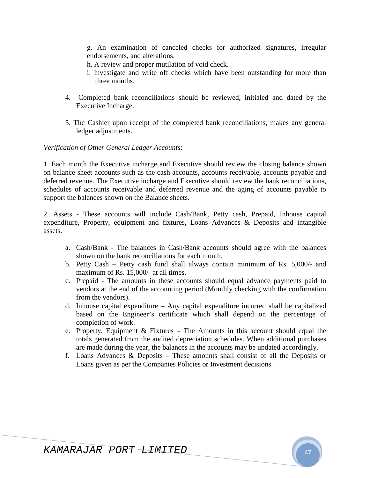g. An examination of canceled checks for authorized signatures, irregular endorsements, and alterations.

- h. A review and proper mutilation of void check.
- i. Investigate and write off checks which have been outstanding for more than three months.
- 4. Completed bank reconciliations should be reviewed, initialed and dated by the Executive Incharge.
- 5. The Cashier upon receipt of the completed bank reconciliations, makes any general ledger adjustments.

### *Verification of Other General Ledger Accounts*:

1. Each month the Executive incharge and Executive should review the closing balance shown on balance sheet accounts such as the cash accounts, accounts receivable, accounts payable and deferred revenue. The Executive incharge and Executive should review the bank reconciliations, schedules of accounts receivable and deferred revenue and the aging of accounts payable to support the balances shown on the Balance sheets.

2. Assets - These accounts will include Cash/Bank, Petty cash, Prepaid, Inhouse capital expenditure, Property, equipment and fixtures, Loans Advances & Deposits and intangible assets.

- a. Cash/Bank The balances in Cash/Bank accounts should agree with the balances shown on the bank reconciliations for each month.
- b. Petty Cash Petty cash fund shall always contain minimum of Rs. 5,000/- and maximum of Rs. 15,000/- at all times.
- c. Prepaid The amounts in these accounts should equal advance payments paid to vendors at the end of the accounting period (Monthly checking with the confirmation from the vendors).
- d. Inhouse capital expenditure Any capital expenditure incurred shall be capitalized based on the Engineer's certificate which shall depend on the percentage of completion of work.
- e. Property, Equipment  $& Fixtures The Amounts in this account should equal the$ totals generated from the audited depreciation schedules. When additional purchases are made during the year, the balances in the accounts may be updated accordingly.
- f. Loans Advances & Deposits These amounts shall consist of all the Deposits or Loans given as per the Companies Policies or Investment decisions.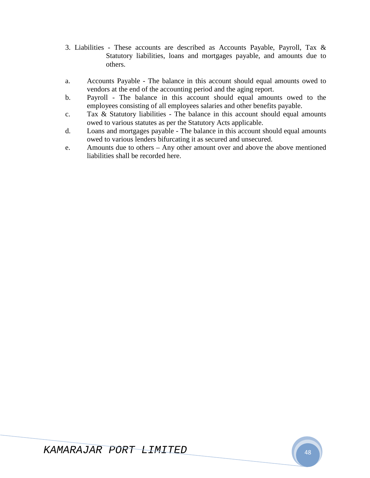- 3. Liabilities These accounts are described as Accounts Payable, Payroll, Tax & Statutory liabilities, loans and mortgages payable, and amounts due to others.
- a. Accounts Payable The balance in this account should equal amounts owed to vendors at the end of the accounting period and the aging report.
- b. Payroll The balance in this account should equal amounts owed to the employees consisting of all employees salaries and other benefits payable.
- c. Tax & Statutory liabilities The balance in this account should equal amounts owed to various statutes as per the Statutory Acts applicable.
- d. Loans and mortgages payable The balance in this account should equal amounts owed to various lenders bifurcating it as secured and unsecured.
- e. Amounts due to others Any other amount over and above the above mentioned liabilities shall be recorded here.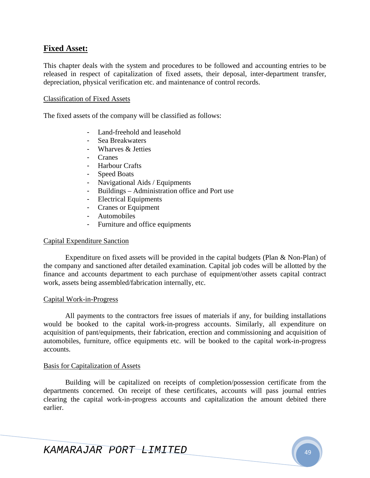### **Fixed Asset:**

This chapter deals with the system and procedures to be followed and accounting entries to be released in respect of capitalization of fixed assets, their deposal, inter-department transfer, depreciation, physical verification etc. and maintenance of control records.

#### Classification of Fixed Assets

The fixed assets of the company will be classified as follows:

- Land-freehold and leasehold
- Sea Breakwaters
- Wharves & Jetties
- Cranes
- Harbour Crafts
- Speed Boats
- Navigational Aids / Equipments
- Buildings Administration office and Port use
- Electrical Equipments
- Cranes or Equipment
- Automobiles
- Furniture and office equipments

#### Capital Expenditure Sanction

Expenditure on fixed assets will be provided in the capital budgets (Plan & Non-Plan) of the company and sanctioned after detailed examination. Capital job codes will be allotted by the finance and accounts department to each purchase of equipment/other assets capital contract work, assets being assembled/fabrication internally, etc.

#### Capital Work-in-Progress

All payments to the contractors free issues of materials if any, for building installations would be booked to the capital work-in-progress accounts. Similarly, all expenditure on acquisition of pant/equipments, their fabrication, erection and commissioning and acquisition of automobiles, furniture, office equipments etc. will be booked to the capital work-in-progress accounts.

#### Basis for Capitalization of Assets

Building will be capitalized on receipts of completion/possession certificate from the departments concerned. On receipt of these certificates, accounts will pass journal entries clearing the capital work-in-progress accounts and capitalization the amount debited there earlier.

KAMARAJAR PORT LIMITED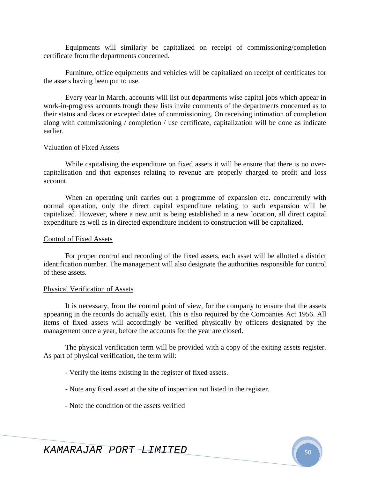Equipments will similarly be capitalized on receipt of commissioning/completion certificate from the departments concerned.

Furniture, office equipments and vehicles will be capitalized on receipt of certificates for the assets having been put to use.

Every year in March, accounts will list out departments wise capital jobs which appear in work-in-progress accounts trough these lists invite comments of the departments concerned as to their status and dates or excepted dates of commissioning. On receiving intimation of completion along with commissioning / completion / use certificate, capitalization will be done as indicate earlier.

#### Valuation of Fixed Assets

While capitalising the expenditure on fixed assets it will be ensure that there is no overcapitalisation and that expenses relating to revenue are properly charged to profit and loss account.

When an operating unit carries out a programme of expansion etc. concurrently with normal operation, only the direct capital expenditure relating to such expansion will be capitalized. However, where a new unit is being established in a new location, all direct capital expenditure as well as in directed expenditure incident to construction will be capitalized.

#### Control of Fixed Assets

For proper control and recording of the fixed assets, each asset will be allotted a district identification number. The management will also designate the authorities responsible for control of these assets.

#### Physical Verification of Assets

It is necessary, from the control point of view, for the company to ensure that the assets appearing in the records do actually exist. This is also required by the Companies Act 1956. All items of fixed assets will accordingly be verified physically by officers designated by the management once a year, before the accounts for the year are closed.

The physical verification term will be provided with a copy of the exiting assets register. As part of physical verification, the term will:

- Verify the items existing in the register of fixed assets.
- Note any fixed asset at the site of inspection not listed in the register.
- Note the condition of the assets verified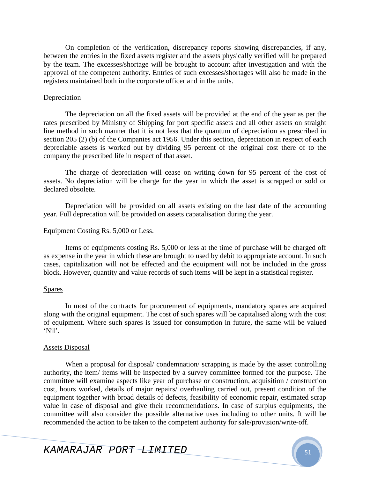On completion of the verification, discrepancy reports showing discrepancies, if any, between the entries in the fixed assets register and the assets physically verified will be prepared by the team. The excesses/shortage will be brought to account after investigation and with the approval of the competent authority. Entries of such excesses/shortages will also be made in the registers maintained both in the corporate officer and in the units.

#### **Depreciation**

The depreciation on all the fixed assets will be provided at the end of the year as per the rates prescribed by Ministry of Shipping for port specific assets and all other assets on straight line method in such manner that it is not less that the quantum of depreciation as prescribed in section 205 (2) (b) of the Companies act 1956. Under this section, depreciation in respect of each depreciable assets is worked out by dividing 95 percent of the original cost there of to the company the prescribed life in respect of that asset.

The charge of depreciation will cease on writing down for 95 percent of the cost of assets. No depreciation will be charge for the year in which the asset is scrapped or sold or declared obsolete.

Depreciation will be provided on all assets existing on the last date of the accounting year. Full deprecation will be provided on assets capatalisation during the year.

#### Equipment Costing Rs. 5,000 or Less.

Items of equipments costing Rs. 5,000 or less at the time of purchase will be charged off as expense in the year in which these are brought to used by debit to appropriate account. In such cases, capitalization will not be effected and the equipment will not be included in the gross block. However, quantity and value records of such items will be kept in a statistical register.

### Spares

In most of the contracts for procurement of equipments, mandatory spares are acquired along with the original equipment. The cost of such spares will be capitalised along with the cost of equipment. Where such spares is issued for consumption in future, the same will be valued 'Nil'.

### Assets Disposal

When a proposal for disposal/ condemnation/ scrapping is made by the asset controlling authority, the item/ items will be inspected by a survey committee formed for the purpose. The committee will examine aspects like year of purchase or construction, acquisition / construction cost, hours worked, details of major repairs/ overhauling carried out, present condition of the equipment together with broad details of defects, feasibility of economic repair, estimated scrap value in case of disposal and give their recommendations. In case of surplus equipments, the committee will also consider the possible alternative uses including to other units. It will be recommended the action to be taken to the competent authority for sale/provision/write-off.

KAMARAJAR PORT <del>LIMITED</del>  $\begin{bmatrix} 1 & 0 & 0 \\ 0 & 5 & 1 \end{bmatrix}$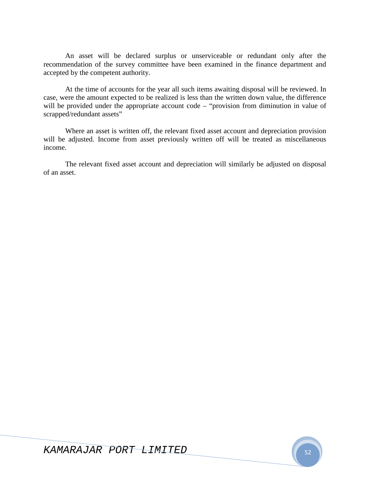An asset will be declared surplus or unserviceable or redundant only after the recommendation of the survey committee have been examined in the finance department and accepted by the competent authority.

At the time of accounts for the year all such items awaiting disposal will be reviewed. In case, were the amount expected to be realized is less than the written down value, the difference will be provided under the appropriate account code – "provision from diminution in value of scrapped/redundant assets"

Where an asset is written off, the relevant fixed asset account and depreciation provision will be adjusted. Income from asset previously written off will be treated as miscellaneous income.

The relevant fixed asset account and depreciation will similarly be adjusted on disposal of an asset.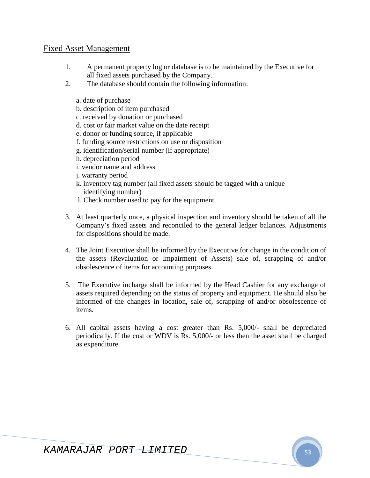## Fixed Asset Management

- 1. A permanent property log or database is to be maintained by the Executive for all fixed assets purchased by the Company.
- 2. The database should contain the following information:
	- a. date of purchase
	- b. description of item purchased
	- c. received by donation or purchased
	- d. cost or fair market value on the date receipt
	- e. donor or funding source, if applicable
	- f. funding source restrictions on use or disposition
	- g. identification/serial number (if appropriate)
	- h. depreciation period
	- i. vendor name and address
	- j. warranty period
	- k. inventory tag number (all fixed assets should be tagged with a unique identifying number)
	- l. Check number used to pay for the equipment.
- 3. At least quarterly once, a physical inspection and inventory should be taken of all the Company's fixed assets and reconciled to the general ledger balances. Adjustments for dispositions should be made.
- 4. The Joint Executive shall be informed by the Executive for change in the condition of the assets (Revaluation or Impairment of Assets) sale of, scrapping of and/or obsolescence of items for accounting purposes.
- 5. The Executive incharge shall be informed by the Head Cashier for any exchange of assets required depending on the status of property and equipment. He should also be informed of the changes in location, sale of, scrapping of and/or obsolescence of items.
- 6. All capital assets having a cost greater than Rs. 5,000/- shall be depreciated periodically. If the cost or WDV is Rs. 5,000/- or less then the asset shall be charged as expenditure.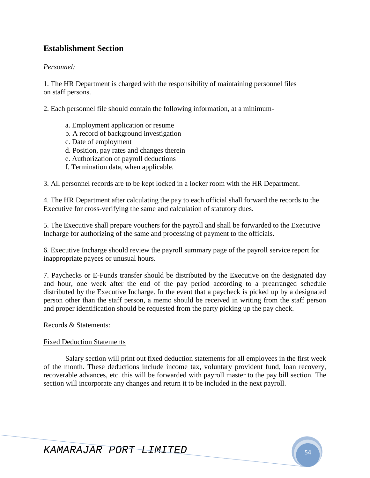# **Establishment Section**

### *Personnel:*

1. The HR Department is charged with the responsibility of maintaining personnel files on staff persons.

2. Each personnel file should contain the following information, at a minimum-

- a. Employment application or resume
- b. A record of background investigation
- c. Date of employment
- d. Position, pay rates and changes therein
- e. Authorization of payroll deductions
- f. Termination data, when applicable.

3. All personnel records are to be kept locked in a locker room with the HR Department.

4. The HR Department after calculating the pay to each official shall forward the records to the Executive for cross-verifying the same and calculation of statutory dues.

5. The Executive shall prepare vouchers for the payroll and shall be forwarded to the Executive Incharge for authorizing of the same and processing of payment to the officials.

6. Executive Incharge should review the payroll summary page of the payroll service report for inappropriate payees or unusual hours.

7. Paychecks or E-Funds transfer should be distributed by the Executive on the designated day and hour, one week after the end of the pay period according to a prearranged schedule distributed by the Executive Incharge. In the event that a paycheck is picked up by a designated person other than the staff person, a memo should be received in writing from the staff person and proper identification should be requested from the party picking up the pay check.

Records & Statements:

### Fixed Deduction Statements

Salary section will print out fixed deduction statements for all employees in the first week of the month. These deductions include income tax, voluntary provident fund, loan recovery, recoverable advances, etc. this will be forwarded with payroll master to the pay bill section. The section will incorporate any changes and return it to be included in the next payroll.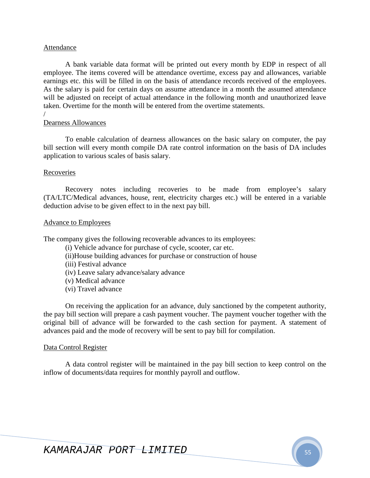#### Attendance

A bank variable data format will be printed out every month by EDP in respect of all employee. The items covered will be attendance overtime, excess pay and allowances, variable earnings etc. this will be filled in on the basis of attendance records received of the employees. As the salary is paid for certain days on assume attendance in a month the assumed attendance will be adjusted on receipt of actual attendance in the following month and unauthorized leave taken. Overtime for the month will be entered from the overtime statements.

/

### Dearness Allowances

To enable calculation of dearness allowances on the basic salary on computer, the pay bill section will every month compile DA rate control information on the basis of DA includes application to various scales of basis salary.

#### Recoveries

Recovery notes including recoveries to be made from employee's salary (TA/LTC/Medical advances, house, rent, electricity charges etc.) will be entered in a variable deduction advise to be given effect to in the next pay bill.

#### Advance to Employees

The company gives the following recoverable advances to its employees:

- (i) Vehicle advance for purchase of cycle, scooter, car etc.
- (ii)House building advances for purchase or construction of house
- (iii) Festival advance
- (iv) Leave salary advance/salary advance
- (v) Medical advance
- (vi) Travel advance

On receiving the application for an advance, duly sanctioned by the competent authority, the pay bill section will prepare a cash payment voucher. The payment voucher together with the original bill of advance will be forwarded to the cash section for payment. A statement of advances paid and the mode of recovery will be sent to pay bill for compilation.

### Data Control Register

A data control register will be maintained in the pay bill section to keep control on the inflow of documents/data requires for monthly payroll and outflow.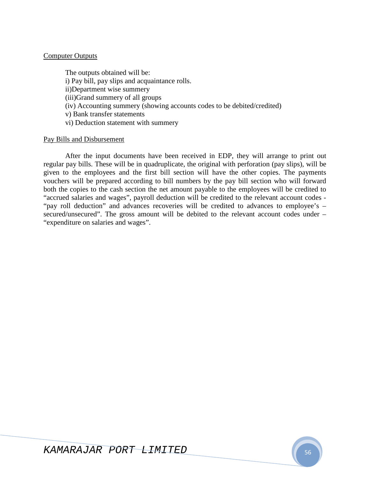### Computer Outputs

The outputs obtained will be: i) Pay bill, pay slips and acquaintance rolls. ii)Department wise summery (iii)Grand summery of all groups (iv) Accounting summery (showing accounts codes to be debited/credited) v) Bank transfer statements vi) Deduction statement with summery

### Pay Bills and Disbursement

After the input documents have been received in EDP, they will arrange to print out regular pay bills. These will be in quadruplicate, the original with perforation (pay slips), will be given to the employees and the first bill section will have the other copies. The payments vouchers will be prepared according to bill numbers by the pay bill section who will forward both the copies to the cash section the net amount payable to the employees will be credited to "accrued salaries and wages", payroll deduction will be credited to the relevant account codes - "pay roll deduction" and advances recoveries will be credited to advances to employee's – secured/unsecured". The gross amount will be debited to the relevant account codes under – "expenditure on salaries and wages".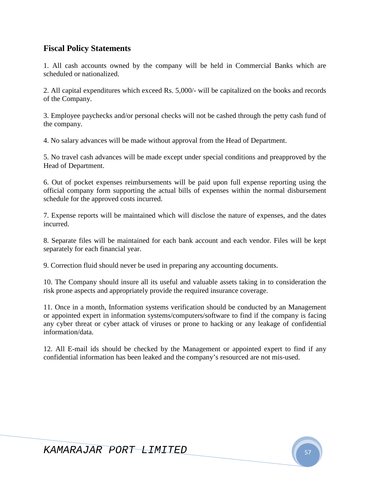# **Fiscal Policy Statements**

1. All cash accounts owned by the company will be held in Commercial Banks which are scheduled or nationalized.

2. All capital expenditures which exceed Rs. 5,000/- will be capitalized on the books and records of the Company.

3. Employee paychecks and/or personal checks will not be cashed through the petty cash fund of the company.

4. No salary advances will be made without approval from the Head of Department.

5. No travel cash advances will be made except under special conditions and preapproved by the Head of Department.

6. Out of pocket expenses reimbursements will be paid upon full expense reporting using the official company form supporting the actual bills of expenses within the normal disbursement schedule for the approved costs incurred.

7. Expense reports will be maintained which will disclose the nature of expenses, and the dates incurred.

8. Separate files will be maintained for each bank account and each vendor. Files will be kept separately for each financial year.

9. Correction fluid should never be used in preparing any accounting documents.

10. The Company should insure all its useful and valuable assets taking in to consideration the risk prone aspects and appropriately provide the required insurance coverage.

11. Once in a month, Information systems verification should be conducted by an Management or appointed expert in information systems/computers/software to find if the company is facing any cyber threat or cyber attack of viruses or prone to hacking or any leakage of confidential information/data.

12. All E-mail ids should be checked by the Management or appointed expert to find if any confidential information has been leaked and the company's resourced are not mis-used.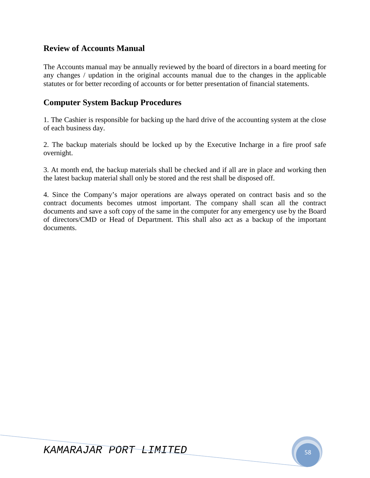# **Review of Accounts Manual**

The Accounts manual may be annually reviewed by the board of directors in a board meeting for any changes / updation in the original accounts manual due to the changes in the applicable statutes or for better recording of accounts or for better presentation of financial statements.

# **Computer System Backup Procedures**

1. The Cashier is responsible for backing up the hard drive of the accounting system at the close of each business day.

2. The backup materials should be locked up by the Executive Incharge in a fire proof safe overnight.

3. At month end, the backup materials shall be checked and if all are in place and working then the latest backup material shall only be stored and the rest shall be disposed off.

4. Since the Company's major operations are always operated on contract basis and so the contract documents becomes utmost important. The company shall scan all the contract documents and save a soft copy of the same in the computer for any emergency use by the Board of directors/CMD or Head of Department. This shall also act as a backup of the important documents.